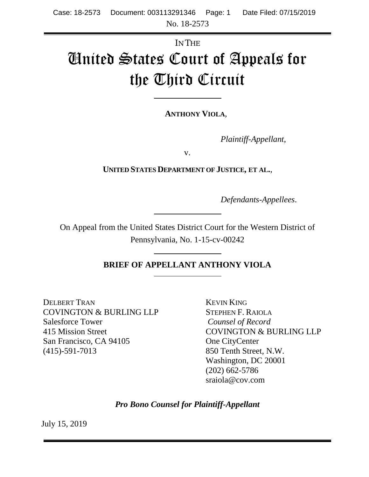# IN THE United States Court of Appeals for the Third Circuit

**ANTHONY VIOLA**,

*Plaintiff-Appellant*,

v.

**UNITED STATES DEPARTMENT OF JUSTICE, ET AL.**,

*Defendants-Appellees*.

On Appeal from the United States District Court for the Western District of Pennsylvania, No. 1-15-cv-00242

**BRIEF OF APPELLANT ANTHONY VIOLA**

DELBERT TRAN COVINGTON & BURLING LLP Salesforce Tower 415 Mission Street San Francisco, CA 94105 (415)-591-7013

KEVIN KING STEPHEN F. RAIOLA *Counsel of Record* COVINGTON & BURLING LLP One CityCenter 850 Tenth Street, N.W. Washington, DC 20001 (202) 662-5786 [sraiola@cov.com](mailto:paul.clement@kirkland.com)

*Pro Bono Counsel for Plaintiff-Appellant*

July 15, 2019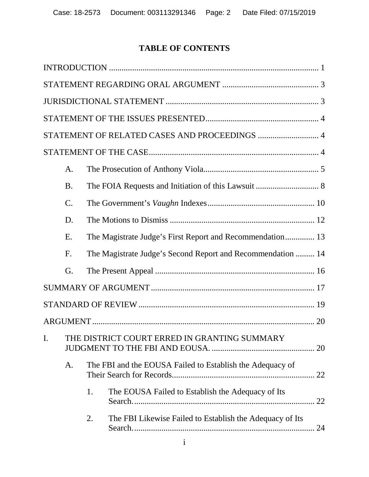# **TABLE OF CONTENTS**

|    |                                              |                                                           | STATEMENT OF RELATED CASES AND PROCEEDINGS  4               |  |
|----|----------------------------------------------|-----------------------------------------------------------|-------------------------------------------------------------|--|
|    |                                              |                                                           |                                                             |  |
|    | A.                                           |                                                           |                                                             |  |
|    | <b>B.</b>                                    |                                                           |                                                             |  |
|    | $\mathcal{C}$ .                              |                                                           |                                                             |  |
|    | D.                                           |                                                           |                                                             |  |
|    | Ε.                                           |                                                           | The Magistrate Judge's First Report and Recommendation 13   |  |
|    | F.                                           |                                                           | The Magistrate Judge's Second Report and Recommendation  14 |  |
|    | G.                                           |                                                           |                                                             |  |
|    |                                              |                                                           |                                                             |  |
|    |                                              |                                                           |                                                             |  |
|    |                                              |                                                           |                                                             |  |
| I. | THE DISTRICT COURT ERRED IN GRANTING SUMMARY |                                                           |                                                             |  |
|    | A.                                           | The FBI and the EOUSA Failed to Establish the Adequacy of |                                                             |  |
|    |                                              | 1.                                                        | The EOUSA Failed to Establish the Adequacy of Its           |  |
|    |                                              | 2.                                                        | The FBI Likewise Failed to Establish the Adequacy of Its    |  |
|    |                                              |                                                           |                                                             |  |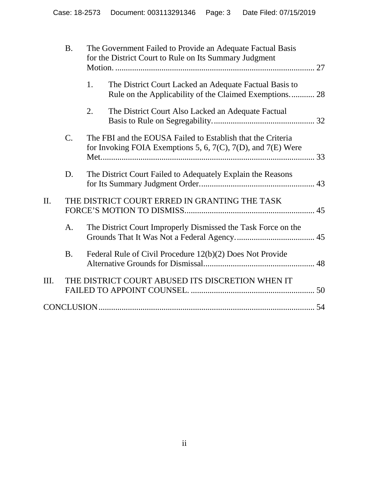|      | <b>B.</b> | The Government Failed to Provide an Adequate Factual Basis<br>for the District Court to Rule on Its Summary Judgment                |  |
|------|-----------|-------------------------------------------------------------------------------------------------------------------------------------|--|
|      |           | 1.<br>The District Court Lacked an Adequate Factual Basis to<br>Rule on the Applicability of the Claimed Exemptions 28              |  |
|      |           | 2.<br>The District Court Also Lacked an Adequate Factual                                                                            |  |
|      | C.        | The FBI and the EOUSA Failed to Establish that the Criteria<br>for Invoking FOIA Exemptions 5, 6, $7(C)$ , $7(D)$ , and $7(E)$ Were |  |
|      | D.        | The District Court Failed to Adequately Explain the Reasons                                                                         |  |
| Π.   |           | THE DISTRICT COURT ERRED IN GRANTING THE TASK                                                                                       |  |
|      | A.        | The District Court Improperly Dismissed the Task Force on the                                                                       |  |
|      | <b>B.</b> | Federal Rule of Civil Procedure 12(b)(2) Does Not Provide                                                                           |  |
| III. |           | THE DISTRICT COURT ABUSED ITS DISCRETION WHEN IT                                                                                    |  |
|      |           |                                                                                                                                     |  |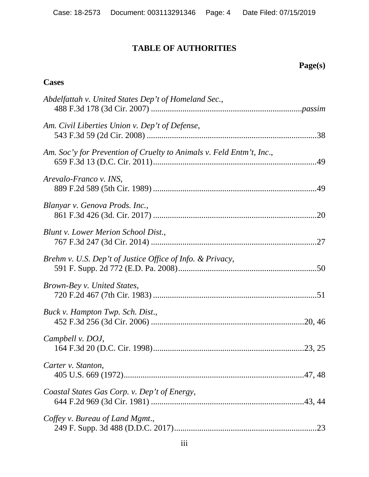# **TABLE OF AUTHORITIES**

# **Page(s)**

## **Cases**

| Abdelfattah v. United States Dep't of Homeland Sec.,                 |
|----------------------------------------------------------------------|
| Am. Civil Liberties Union v. Dep't of Defense,                       |
| Am. Soc'y for Prevention of Cruelty to Animals v. Feld Entm't, Inc., |
| Arevalo-Franco v. INS,                                               |
| Blanyar v. Genova Prods. Inc.,                                       |
| Blunt v. Lower Merion School Dist.,                                  |
| Brehm v. U.S. Dep't of Justice Office of Info. & Privacy,            |
| Brown-Bey v. United States,                                          |
| Buck v. Hampton Twp. Sch. Dist.,                                     |
| Campbell v. DOJ,                                                     |
| Carter v. Stanton,                                                   |
| Coastal States Gas Corp. v. Dep't of Energy,                         |
| Coffey v. Bureau of Land Mgmt.,                                      |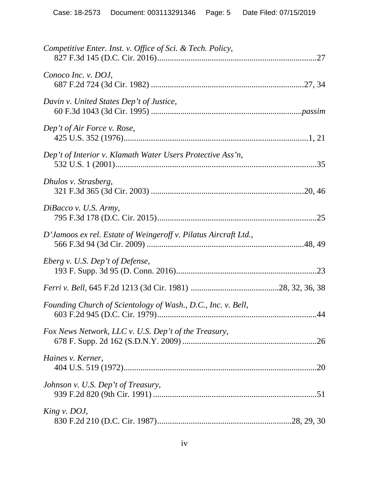| Competitive Enter. Inst. v. Office of Sci. & Tech. Policy,      |  |
|-----------------------------------------------------------------|--|
| Conoco Inc. v. DOJ,                                             |  |
| Davin v. United States Dep't of Justice,                        |  |
| Dep't of Air Force v. Rose,                                     |  |
| Dep't of Interior v. Klamath Water Users Protective Ass'n,      |  |
| Dhulos v. Strasberg,                                            |  |
| DiBacco v. U.S. Army,                                           |  |
| D'Jamoos ex rel. Estate of Weingeroff v. Pilatus Aircraft Ltd., |  |
| Eberg v. U.S. Dep't of Defense,                                 |  |
|                                                                 |  |
| Founding Church of Scientology of Wash., D.C., Inc. v. Bell,    |  |
| Fox News Network, LLC v. U.S. Dep't of the Treasury,            |  |
| Haines v. Kerner,                                               |  |
| Johnson v. U.S. Dep't of Treasury,                              |  |
| King v. DOJ,                                                    |  |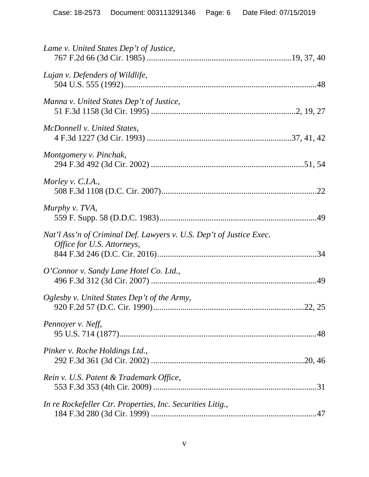| Lame v. United States Dep't of Justice,                                                           |  |
|---------------------------------------------------------------------------------------------------|--|
| Lujan v. Defenders of Wildlife,                                                                   |  |
| Manna v. United States Dep't of Justice,                                                          |  |
| McDonnell v. United States,                                                                       |  |
| Montgomery v. Pinchak,                                                                            |  |
| Morley v. C.I.A.,                                                                                 |  |
| Murphy v. TVA,                                                                                    |  |
| Nat'l Ass'n of Criminal Def. Lawyers v. U.S. Dep't of Justice Exec.<br>Office for U.S. Attorneys, |  |
| O'Connor v. Sandy Lane Hotel Co. Ltd.,                                                            |  |
| Oglesby v. United States Dep't of the Army,                                                       |  |
| Pennoyer v. Neff,                                                                                 |  |
| Pinker v. Roche Holdings Ltd.,                                                                    |  |
| Rein v. U.S. Patent & Trademark Office,                                                           |  |
| In re Rockefeller Ctr. Properties, Inc. Securities Litig.,                                        |  |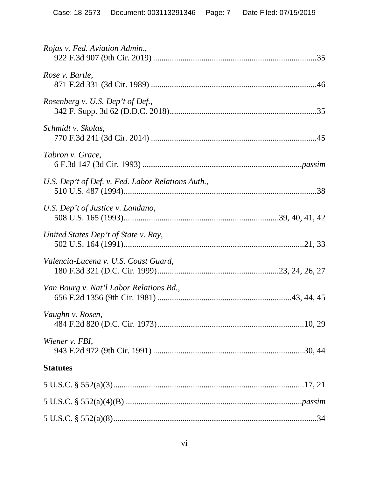| Rojas v. Fed. Aviation Admin.,                    |
|---------------------------------------------------|
| Rose v. Bartle,                                   |
| Rosenberg v. U.S. Dep't of Def.,                  |
| Schmidt v. Skolas,                                |
| Tabron v. Grace,                                  |
| U.S. Dep't of Def. v. Fed. Labor Relations Auth., |
| U.S. Dep't of Justice v. Landano,                 |
| United States Dep't of State v. Ray,              |
| Valencia-Lucena v. U.S. Coast Guard,              |
| Van Bourg v. Nat'l Labor Relations Bd.,           |
| Vaughn v. Rosen,                                  |
| Wiener v. FBI,                                    |
| <b>Statutes</b>                                   |
|                                                   |
|                                                   |
|                                                   |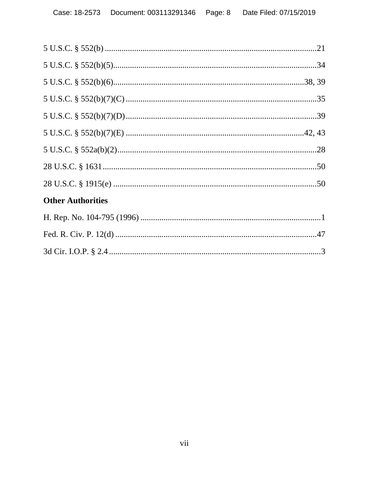| <b>Other Authorities</b> |  |
|--------------------------|--|
|                          |  |
|                          |  |
|                          |  |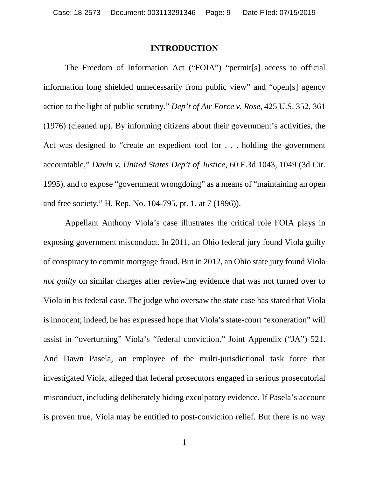#### <span id="page-8-2"></span><span id="page-8-0"></span>**INTRODUCTION**

The Freedom of Information Act ("FOIA") "permit[s] access to official information long shielded unnecessarily from public view" and "open[s] agency action to the light of public scrutiny." *Dep't of Air Force v. Rose*, 425 U.S. 352, 361 (1976) (cleaned up). By informing citizens about their government's activities, the Act was designed to "create an expedient tool for . . . holding the government accountable," *Davin v. United States Dep't of Justice*, 60 F.3d 1043, 1049 (3d Cir. 1995), and to expose "government wrongdoing" as a means of "maintaining an open and free society." H. Rep. No. 104-795, pt. 1, at 7 (1996)).

<span id="page-8-3"></span><span id="page-8-1"></span>Appellant Anthony Viola's case illustrates the critical role FOIA plays in exposing government misconduct. In 2011, an Ohio federal jury found Viola guilty of conspiracy to commit mortgage fraud. But in 2012, an Ohio state jury found Viola *not guilty* on similar charges after reviewing evidence that was not turned over to Viola in his federal case. The judge who oversaw the state case has stated that Viola is innocent; indeed, he has expressed hope that Viola's state-court "exoneration" will assist in "overturning" Viola's "federal conviction." Joint Appendix ("JA") 521. And Dawn Pasela, an employee of the multi-jurisdictional task force that investigated Viola, alleged that federal prosecutors engaged in serious prosecutorial misconduct, including deliberately hiding exculpatory evidence. If Pasela's account is proven true, Viola may be entitled to post-conviction relief. But there is no way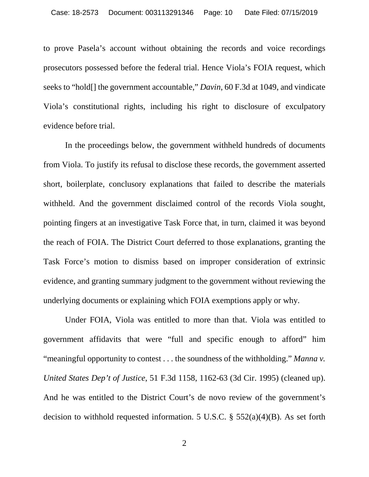to prove Pasela's account without obtaining the records and voice recordings prosecutors possessed before the federal trial. Hence Viola's FOIA request, which seeks to "hold[] the government accountable," *Davin*, 60 F.3d at 1049, and vindicate Viola's constitutional rights, including his right to disclosure of exculpatory evidence before trial.

In the proceedings below, the government withheld hundreds of documents from Viola. To justify its refusal to disclose these records, the government asserted short, boilerplate, conclusory explanations that failed to describe the materials withheld. And the government disclaimed control of the records Viola sought, pointing fingers at an investigative Task Force that, in turn, claimed it was beyond the reach of FOIA. The District Court deferred to those explanations, granting the Task Force's motion to dismiss based on improper consideration of extrinsic evidence, and granting summary judgment to the government without reviewing the underlying documents or explaining which FOIA exemptions apply or why.

Under FOIA, Viola was entitled to more than that. Viola was entitled to government affidavits that were "full and specific enough to afford" him "meaningful opportunity to contest . . . the soundness of the withholding." *Manna v. United States Dep't of Justice*, 51 F.3d 1158, 1162-63 (3d Cir. 1995) (cleaned up). And he was entitled to the District Court's de novo review of the government's decision to withhold requested information. 5 U.S.C.  $\S$  552(a)(4)(B). As set forth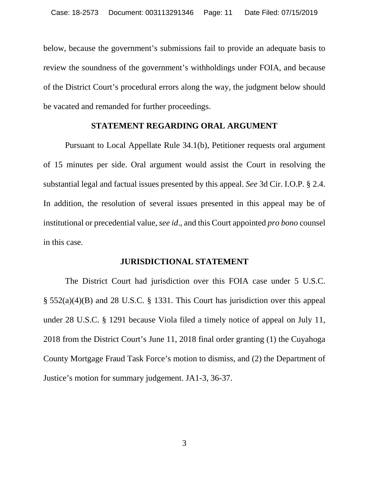below, because the government's submissions fail to provide an adequate basis to review the soundness of the government's withholdings under FOIA, and because of the District Court's procedural errors along the way, the judgment below should be vacated and remanded for further proceedings.

#### <span id="page-10-0"></span>**STATEMENT REGARDING ORAL ARGUMENT**

Pursuant to Local Appellate Rule 34.1(b), Petitioner requests oral argument of 15 minutes per side. Oral argument would assist the Court in resolving the substantial legal and factual issues presented by this appeal. *See* 3d Cir. I.O.P. § 2.4. In addition, the resolution of several issues presented in this appeal may be of institutional or precedential value, *see id*., and this Court appointed *pro bono* counsel in this case.

#### <span id="page-10-2"></span><span id="page-10-1"></span>**JURISDICTIONAL STATEMENT**

The District Court had jurisdiction over this FOIA case under 5 U.S.C. § 552(a)(4)(B) and 28 U.S.C. § 1331. This Court has jurisdiction over this appeal under 28 U.S.C. § 1291 because Viola filed a timely notice of appeal on July 11, 2018 from the District Court's June 11, 2018 final order granting (1) the Cuyahoga County Mortgage Fraud Task Force's motion to dismiss, and (2) the Department of Justice's motion for summary judgement. JA1-3, 36-37.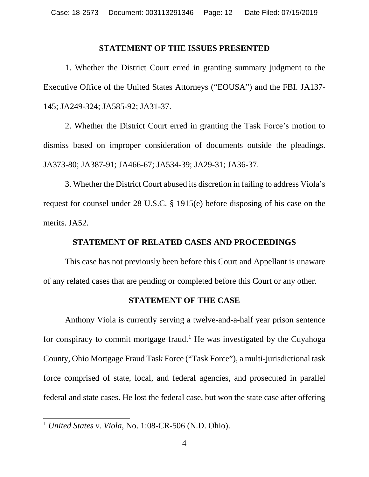#### <span id="page-11-0"></span>**STATEMENT OF THE ISSUES PRESENTED**

1. Whether the District Court erred in granting summary judgment to the Executive Office of the United States Attorneys ("EOUSA") and the FBI. JA137- 145; JA249-324; JA585-92; JA31-37.

2. Whether the District Court erred in granting the Task Force's motion to dismiss based on improper consideration of documents outside the pleadings. JA373-80; JA387-91; JA466-67; JA534-39; JA29-31; JA36-37.

3. Whether the District Court abused its discretion in failing to address Viola's request for counsel under 28 U.S.C. § 1915(e) before disposing of his case on the merits. JA52.

## **STATEMENT OF RELATED CASES AND PROCEEDINGS**

This case has not previously been before this Court and Appellant is unaware of any related cases that are pending or completed before this Court or any other.

#### <span id="page-11-2"></span><span id="page-11-1"></span>**STATEMENT OF THE CASE**

Anthony Viola is currently serving a twelve-and-a-half year prison sentence for conspiracy to commit mortgage fraud.<sup>[1](#page-11-3)</sup> He was investigated by the Cuyahoga County, Ohio Mortgage Fraud Task Force ("Task Force"), a multi-jurisdictional task force comprised of state, local, and federal agencies, and prosecuted in parallel federal and state cases. He lost the federal case, but won the state case after offering

<span id="page-11-3"></span> <sup>1</sup> *United States v. Viola*, No. 1:08-CR-506 (N.D. Ohio).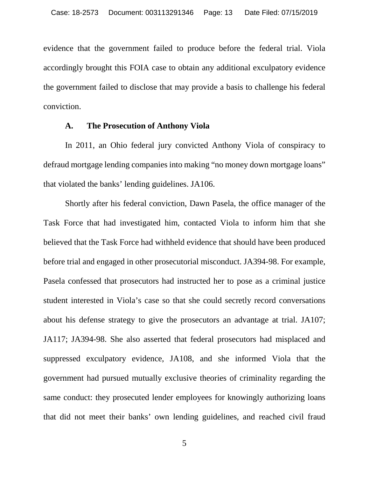evidence that the government failed to produce before the federal trial. Viola accordingly brought this FOIA case to obtain any additional exculpatory evidence the government failed to disclose that may provide a basis to challenge his federal conviction.

#### **A. The Prosecution of Anthony Viola**

<span id="page-12-0"></span>In 2011, an Ohio federal jury convicted Anthony Viola of conspiracy to defraud mortgage lending companies into making "no money down mortgage loans" that violated the banks' lending guidelines. JA106.

Shortly after his federal conviction, Dawn Pasela, the office manager of the Task Force that had investigated him, contacted Viola to inform him that she believed that the Task Force had withheld evidence that should have been produced before trial and engaged in other prosecutorial misconduct. JA394-98. For example, Pasela confessed that prosecutors had instructed her to pose as a criminal justice student interested in Viola's case so that she could secretly record conversations about his defense strategy to give the prosecutors an advantage at trial. JA107; JA117; JA394-98. She also asserted that federal prosecutors had misplaced and suppressed exculpatory evidence, JA108, and she informed Viola that the government had pursued mutually exclusive theories of criminality regarding the same conduct: they prosecuted lender employees for knowingly authorizing loans that did not meet their banks' own lending guidelines, and reached civil fraud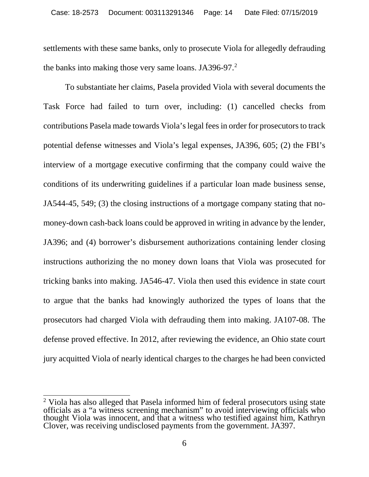settlements with these same banks, only to prosecute Viola for allegedly defrauding the banks into making those very same loans. JA396-97.<sup>[2](#page-13-0)</sup>

To substantiate her claims, Pasela provided Viola with several documents the Task Force had failed to turn over, including: (1) cancelled checks from contributions Pasela made towards Viola's legal fees in order for prosecutors to track potential defense witnesses and Viola's legal expenses, JA396, 605; (2) the FBI's interview of a mortgage executive confirming that the company could waive the conditions of its underwriting guidelines if a particular loan made business sense, JA544-45, 549; (3) the closing instructions of a mortgage company stating that nomoney-down cash-back loans could be approved in writing in advance by the lender, JA396; and (4) borrower's disbursement authorizations containing lender closing instructions authorizing the no money down loans that Viola was prosecuted for tricking banks into making. JA546-47. Viola then used this evidence in state court to argue that the banks had knowingly authorized the types of loans that the prosecutors had charged Viola with defrauding them into making. JA107-08. The defense proved effective. In 2012, after reviewing the evidence, an Ohio state court jury acquitted Viola of nearly identical charges to the charges he had been convicted

<span id="page-13-0"></span><sup>&</sup>lt;sup>2</sup> Viola has also alleged that Pasela informed him of federal prosecutors using state officials as a "a witness screening mechanism" to avoid interviewing officials who thought Viola was innocent, and that a witness who testified against him, Kathryn Clover, was receiving undisclosed payments from the government. JA397.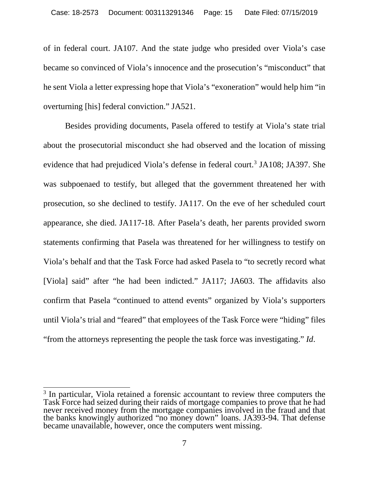of in federal court. JA107. And the state judge who presided over Viola's case became so convinced of Viola's innocence and the prosecution's "misconduct" that he sent Viola a letter expressing hope that Viola's "exoneration" would help him "in overturning [his] federal conviction." JA521.

Besides providing documents, Pasela offered to testify at Viola's state trial about the prosecutorial misconduct she had observed and the location of missing evidence that had prejudiced Viola's defense in federal court.<sup>[3](#page-14-0)</sup> JA108; JA397. She was subpoenaed to testify, but alleged that the government threatened her with prosecution, so she declined to testify. JA117. On the eve of her scheduled court appearance, she died. JA117-18. After Pasela's death, her parents provided sworn statements confirming that Pasela was threatened for her willingness to testify on Viola's behalf and that the Task Force had asked Pasela to "to secretly record what [Viola] said" after "he had been indicted." JA117; JA603. The affidavits also confirm that Pasela "continued to attend events" organized by Viola's supporters until Viola's trial and "feared" that employees of the Task Force were "hiding" files "from the attorneys representing the people the task force was investigating." *Id*.

<span id="page-14-0"></span><sup>&</sup>lt;sup>3</sup> In particular, Viola retained a forensic accountant to review three computers the Task Force had seized during their raids of mortgage companies to prove that he had never received money from the mortgage companies involved in the fraud and that the banks knowingly authorized "no money down" loans. JA393-94. That defense became unavailable, however, once the computers went missing.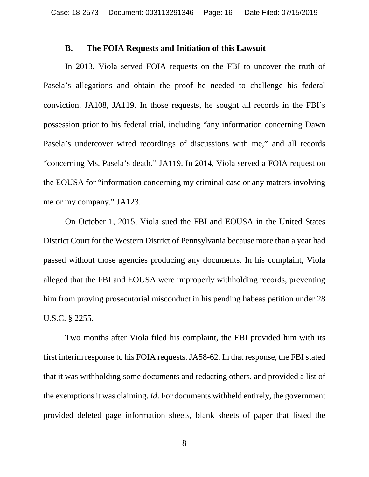#### **B. The FOIA Requests and Initiation of this Lawsuit**

<span id="page-15-0"></span>In 2013, Viola served FOIA requests on the FBI to uncover the truth of Pasela's allegations and obtain the proof he needed to challenge his federal conviction. JA108, JA119. In those requests, he sought all records in the FBI's possession prior to his federal trial, including "any information concerning Dawn Pasela's undercover wired recordings of discussions with me," and all records "concerning Ms. Pasela's death." JA119. In 2014, Viola served a FOIA request on the EOUSA for "information concerning my criminal case or any matters involving me or my company." JA123.

On October 1, 2015, Viola sued the FBI and EOUSA in the United States District Court for the Western District of Pennsylvania because more than a year had passed without those agencies producing any documents. In his complaint, Viola alleged that the FBI and EOUSA were improperly withholding records, preventing him from proving prosecutorial misconduct in his pending habeas petition under 28 U.S.C. § 2255.

Two months after Viola filed his complaint, the FBI provided him with its first interim response to his FOIA requests. JA58-62. In that response, the FBI stated that it was withholding some documents and redacting others, and provided a list of the exemptions it was claiming. *Id*. For documents withheld entirely, the government provided deleted page information sheets, blank sheets of paper that listed the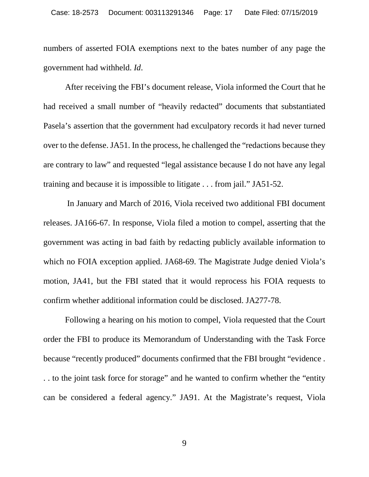numbers of asserted FOIA exemptions next to the bates number of any page the government had withheld. *Id*.

After receiving the FBI's document release, Viola informed the Court that he had received a small number of "heavily redacted" documents that substantiated Pasela's assertion that the government had exculpatory records it had never turned over to the defense. JA51. In the process, he challenged the "redactions because they are contrary to law" and requested "legal assistance because I do not have any legal training and because it is impossible to litigate . . . from jail." JA51-52.

In January and March of 2016, Viola received two additional FBI document releases. JA166-67. In response, Viola filed a motion to compel, asserting that the government was acting in bad faith by redacting publicly available information to which no FOIA exception applied. JA68-69. The Magistrate Judge denied Viola's motion, JA41, but the FBI stated that it would reprocess his FOIA requests to confirm whether additional information could be disclosed. JA277-78.

Following a hearing on his motion to compel, Viola requested that the Court order the FBI to produce its Memorandum of Understanding with the Task Force because "recently produced" documents confirmed that the FBI brought "evidence . . . to the joint task force for storage" and he wanted to confirm whether the "entity can be considered a federal agency." JA91. At the Magistrate's request, Viola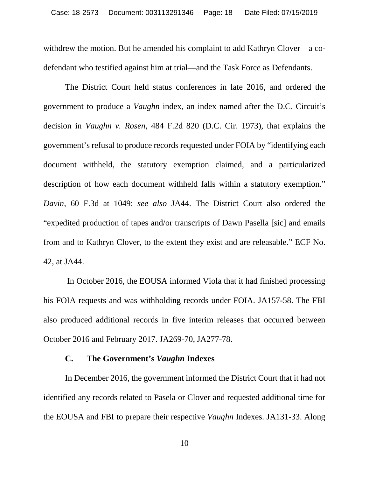withdrew the motion. But he amended his complaint to add Kathryn Clover—a codefendant who testified against him at trial—and the Task Force as Defendants.

The District Court held status conferences in late 2016, and ordered the government to produce a *Vaughn* index, an index named after the D.C. Circuit's decision in *Vaughn v. Rosen*, 484 F.2d 820 (D.C. Cir. 1973), that explains the government's refusal to produce records requested under FOIA by "identifying each document withheld, the statutory exemption claimed, and a particularized description of how each document withheld falls within a statutory exemption." *Davin*, 60 F.3d at 1049; *see also* JA44. The District Court also ordered the "expedited production of tapes and/or transcripts of Dawn Pasella [sic] and emails from and to Kathryn Clover, to the extent they exist and are releasable." ECF No. 42, at JA44.

In October 2016, the EOUSA informed Viola that it had finished processing his FOIA requests and was withholding records under FOIA. JA157-58. The FBI also produced additional records in five interim releases that occurred between October 2016 and February 2017. JA269-70, JA277-78.

### **C. The Government's** *Vaughn* **Indexes**

<span id="page-17-0"></span>In December 2016, the government informed the District Court that it had not identified any records related to Pasela or Clover and requested additional time for the EOUSA and FBI to prepare their respective *Vaughn* Indexes. JA131-33. Along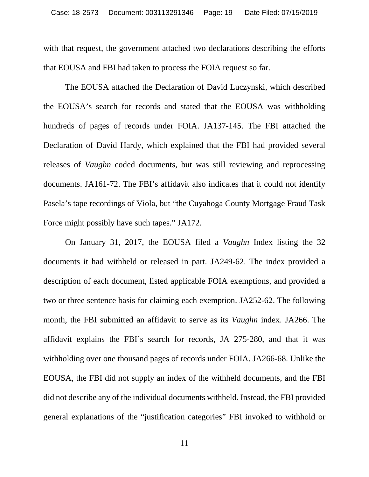with that request, the government attached two declarations describing the efforts that EOUSA and FBI had taken to process the FOIA request so far.

The EOUSA attached the Declaration of David Luczynski, which described the EOUSA's search for records and stated that the EOUSA was withholding hundreds of pages of records under FOIA. JA137-145. The FBI attached the Declaration of David Hardy, which explained that the FBI had provided several releases of *Vaughn* coded documents, but was still reviewing and reprocessing documents. JA161-72. The FBI's affidavit also indicates that it could not identify Pasela's tape recordings of Viola, but "the Cuyahoga County Mortgage Fraud Task Force might possibly have such tapes." JA172.

On January 31, 2017, the EOUSA filed a *Vaughn* Index listing the 32 documents it had withheld or released in part. JA249-62. The index provided a description of each document, listed applicable FOIA exemptions, and provided a two or three sentence basis for claiming each exemption. JA252-62. The following month, the FBI submitted an affidavit to serve as its *Vaughn* index. JA266. The affidavit explains the FBI's search for records, JA 275-280, and that it was withholding over one thousand pages of records under FOIA. JA266-68. Unlike the EOUSA, the FBI did not supply an index of the withheld documents, and the FBI did not describe any of the individual documents withheld. Instead, the FBI provided general explanations of the "justification categories" FBI invoked to withhold or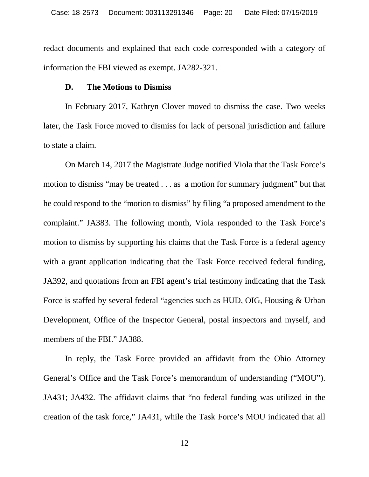redact documents and explained that each code corresponded with a category of information the FBI viewed as exempt. JA282-321.

#### **D. The Motions to Dismiss**

<span id="page-19-0"></span>In February 2017, Kathryn Clover moved to dismiss the case. Two weeks later, the Task Force moved to dismiss for lack of personal jurisdiction and failure to state a claim.

On March 14, 2017 the Magistrate Judge notified Viola that the Task Force's motion to dismiss "may be treated . . . as a motion for summary judgment" but that he could respond to the "motion to dismiss" by filing "a proposed amendment to the complaint." JA383. The following month, Viola responded to the Task Force's motion to dismiss by supporting his claims that the Task Force is a federal agency with a grant application indicating that the Task Force received federal funding, JA392, and quotations from an FBI agent's trial testimony indicating that the Task Force is staffed by several federal "agencies such as HUD, OIG, Housing & Urban Development, Office of the Inspector General, postal inspectors and myself, and members of the FBI." JA388.

In reply, the Task Force provided an affidavit from the Ohio Attorney General's Office and the Task Force's memorandum of understanding ("MOU"). JA431; JA432. The affidavit claims that "no federal funding was utilized in the creation of the task force," JA431, while the Task Force's MOU indicated that all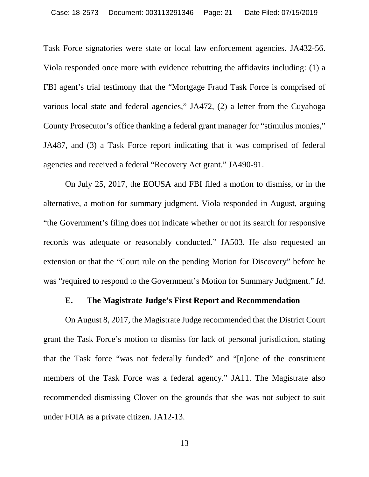Task Force signatories were state or local law enforcement agencies. JA432-56. Viola responded once more with evidence rebutting the affidavits including: (1) a FBI agent's trial testimony that the "Mortgage Fraud Task Force is comprised of various local state and federal agencies," JA472, (2) a letter from the Cuyahoga County Prosecutor's office thanking a federal grant manager for "stimulus monies," JA487, and (3) a Task Force report indicating that it was comprised of federal agencies and received a federal "Recovery Act grant." JA490-91.

On July 25, 2017, the EOUSA and FBI filed a motion to dismiss, or in the alternative, a motion for summary judgment. Viola responded in August, arguing "the Government's filing does not indicate whether or not its search for responsive records was adequate or reasonably conducted." JA503. He also requested an extension or that the "Court rule on the pending Motion for Discovery" before he was "required to respond to the Government's Motion for Summary Judgment." *Id*.

## **E. The Magistrate Judge's First Report and Recommendation**

<span id="page-20-0"></span>On August 8, 2017, the Magistrate Judge recommended that the District Court grant the Task Force's motion to dismiss for lack of personal jurisdiction, stating that the Task force "was not federally funded" and "[n]one of the constituent members of the Task Force was a federal agency." JA11. The Magistrate also recommended dismissing Clover on the grounds that she was not subject to suit under FOIA as a private citizen. JA12-13.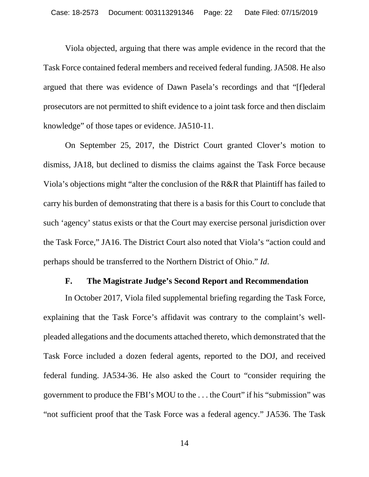Viola objected, arguing that there was ample evidence in the record that the Task Force contained federal members and received federal funding. JA508. He also argued that there was evidence of Dawn Pasela's recordings and that "[f]ederal prosecutors are not permitted to shift evidence to a joint task force and then disclaim knowledge" of those tapes or evidence. JA510-11.

On September 25, 2017, the District Court granted Clover's motion to dismiss, JA18, but declined to dismiss the claims against the Task Force because Viola's objections might "alter the conclusion of the R&R that Plaintiff has failed to carry his burden of demonstrating that there is a basis for this Court to conclude that such 'agency' status exists or that the Court may exercise personal jurisdiction over the Task Force," JA16. The District Court also noted that Viola's "action could and perhaps should be transferred to the Northern District of Ohio." *Id*.

## **F. The Magistrate Judge's Second Report and Recommendation**

<span id="page-21-0"></span>In October 2017, Viola filed supplemental briefing regarding the Task Force, explaining that the Task Force's affidavit was contrary to the complaint's wellpleaded allegations and the documents attached thereto, which demonstrated that the Task Force included a dozen federal agents, reported to the DOJ, and received federal funding. JA534-36. He also asked the Court to "consider requiring the government to produce the FBI's MOU to the . . . the Court" if his "submission" was "not sufficient proof that the Task Force was a federal agency." JA536. The Task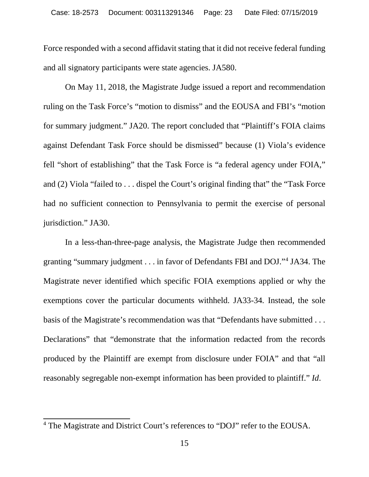Force responded with a second affidavit stating that it did not receive federal funding and all signatory participants were state agencies. JA580.

On May 11, 2018, the Magistrate Judge issued a report and recommendation ruling on the Task Force's "motion to dismiss" and the EOUSA and FBI's "motion for summary judgment." JA20. The report concluded that "Plaintiff's FOIA claims against Defendant Task Force should be dismissed" because (1) Viola's evidence fell "short of establishing" that the Task Force is "a federal agency under FOIA," and (2) Viola "failed to . . . dispel the Court's original finding that" the "Task Force had no sufficient connection to Pennsylvania to permit the exercise of personal jurisdiction." JA30.

In a less-than-three-page analysis, the Magistrate Judge then recommended granting "summary judgment . . . in favor of Defendants FBI and DOJ."[4](#page-22-0) JA34. The Magistrate never identified which specific FOIA exemptions applied or why the exemptions cover the particular documents withheld. JA33-34*.* Instead, the sole basis of the Magistrate's recommendation was that "Defendants have submitted . . . Declarations" that "demonstrate that the information redacted from the records produced by the Plaintiff are exempt from disclosure under FOIA" and that "all reasonably segregable non-exempt information has been provided to plaintiff." *Id*.

<span id="page-22-0"></span> <sup>4</sup> The Magistrate and District Court's references to "DOJ" refer to the EOUSA.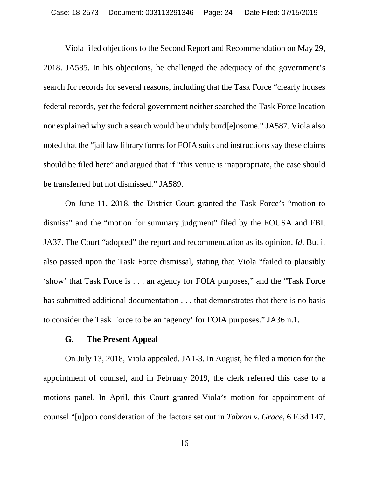Viola filed objections to the Second Report and Recommendation on May 29, 2018. JA585. In his objections, he challenged the adequacy of the government's search for records for several reasons, including that the Task Force "clearly houses federal records, yet the federal government neither searched the Task Force location nor explained why such a search would be unduly burd[e]nsome." JA587. Viola also noted that the "jail law library forms for FOIA suits and instructions say these claims should be filed here" and argued that if "this venue is inappropriate, the case should be transferred but not dismissed." JA589.

On June 11, 2018, the District Court granted the Task Force's "motion to dismiss" and the "motion for summary judgment" filed by the EOUSA and FBI. JA37. The Court "adopted" the report and recommendation as its opinion. *Id*. But it also passed upon the Task Force dismissal, stating that Viola "failed to plausibly 'show' that Task Force is . . . an agency for FOIA purposes," and the "Task Force has submitted additional documentation . . . that demonstrates that there is no basis to consider the Task Force to be an 'agency' for FOIA purposes." JA36 n.1.

#### <span id="page-23-1"></span>**G. The Present Appeal**

<span id="page-23-0"></span>On July 13, 2018, Viola appealed. JA1-3. In August, he filed a motion for the appointment of counsel, and in February 2019, the clerk referred this case to a motions panel. In April, this Court granted Viola's motion for appointment of counsel "[u]pon consideration of the factors set out in *Tabron v. Grace*, 6 F.3d 147,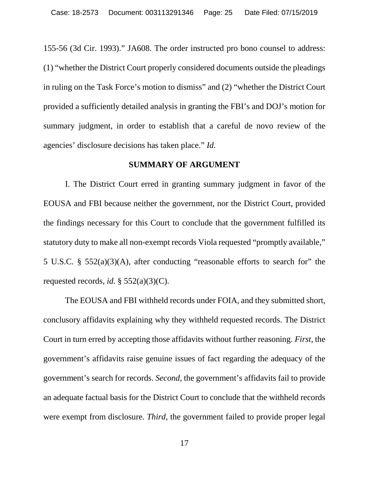155-56 (3d Cir. 1993)." JA608. The order instructed pro bono counsel to address: (1) "whether the District Court properly considered documents outside the pleadings in ruling on the Task Force's motion to dismiss" and (2) "whether the District Court provided a sufficiently detailed analysis in granting the FBI's and DOJ's motion for summary judgment, in order to establish that a careful de novo review of the agencies' disclosure decisions has taken place." *Id.* 

#### <span id="page-24-0"></span>**SUMMARY OF ARGUMENT**

I. The District Court erred in granting summary judgment in favor of the EOUSA and FBI because neither the government, nor the District Court, provided the findings necessary for this Court to conclude that the government fulfilled its statutory duty to make all non-exempt records Viola requested "promptly available," 5 U.S.C. § 552(a)(3)(A), after conducting "reasonable efforts to search for" the requested records, *id.*  $\S$  552(a)(3)(C).

The EOUSA and FBI withheld records under FOIA, and they submitted short, conclusory affidavits explaining why they withheld requested records. The District Court in turn erred by accepting those affidavits without further reasoning. *First*, the government's affidavits raise genuine issues of fact regarding the adequacy of the government's search for records. *Second*, the government's affidavits fail to provide an adequate factual basis for the District Court to conclude that the withheld records were exempt from disclosure. *Third*, the government failed to provide proper legal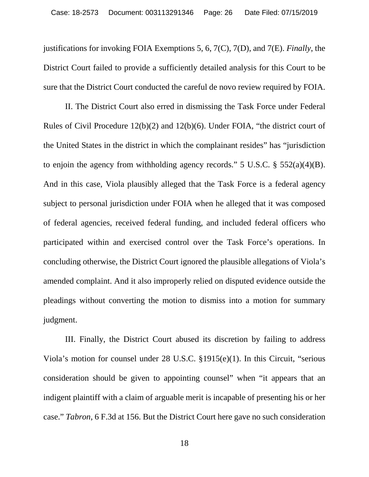justifications for invoking FOIA Exemptions 5, 6, 7(C), 7(D), and 7(E). *Finally*, the District Court failed to provide a sufficiently detailed analysis for this Court to be sure that the District Court conducted the careful de novo review required by FOIA.

II. The District Court also erred in dismissing the Task Force under Federal Rules of Civil Procedure 12(b)(2) and 12(b)(6). Under FOIA, "the district court of the United States in the district in which the complainant resides" has "jurisdiction to enjoin the agency from withholding agency records." 5 U.S.C.  $\S$  552(a)(4)(B). And in this case, Viola plausibly alleged that the Task Force is a federal agency subject to personal jurisdiction under FOIA when he alleged that it was composed of federal agencies, received federal funding, and included federal officers who participated within and exercised control over the Task Force's operations. In concluding otherwise, the District Court ignored the plausible allegations of Viola's amended complaint. And it also improperly relied on disputed evidence outside the pleadings without converting the motion to dismiss into a motion for summary judgment.

III. Finally, the District Court abused its discretion by failing to address Viola's motion for counsel under 28 U.S.C. §1915(e)(1). In this Circuit, "serious consideration should be given to appointing counsel" when "it appears that an indigent plaintiff with a claim of arguable merit is incapable of presenting his or her case." *Tabron*, 6 F.3d at 156. But the District Court here gave no such consideration

18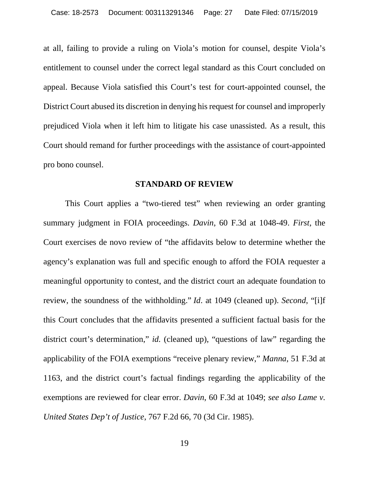at all, failing to provide a ruling on Viola's motion for counsel, despite Viola's entitlement to counsel under the correct legal standard as this Court concluded on appeal. Because Viola satisfied this Court's test for court-appointed counsel, the District Court abused its discretion in denying his request for counsel and improperly prejudiced Viola when it left him to litigate his case unassisted. As a result, this Court should remand for further proceedings with the assistance of court-appointed pro bono counsel.

#### <span id="page-26-0"></span>**STANDARD OF REVIEW**

This Court applies a "two-tiered test" when reviewing an order granting summary judgment in FOIA proceedings. *Davin*, 60 F.3d at 1048-49. *First*, the Court exercises de novo review of "the affidavits below to determine whether the agency's explanation was full and specific enough to afford the FOIA requester a meaningful opportunity to contest, and the district court an adequate foundation to review, the soundness of the withholding." *Id*. at 1049 (cleaned up). *Second*, "[i]f this Court concludes that the affidavits presented a sufficient factual basis for the district court's determination," *id.* (cleaned up), "questions of law" regarding the applicability of the FOIA exemptions "receive plenary review," *Manna*, 51 F.3d at 1163, and the district court's factual findings regarding the applicability of the exemptions are reviewed for clear error. *Davin*, 60 F.3d at 1049; *see also Lame v. United States Dep't of Justice*, 767 F.2d 66, 70 (3d Cir. 1985).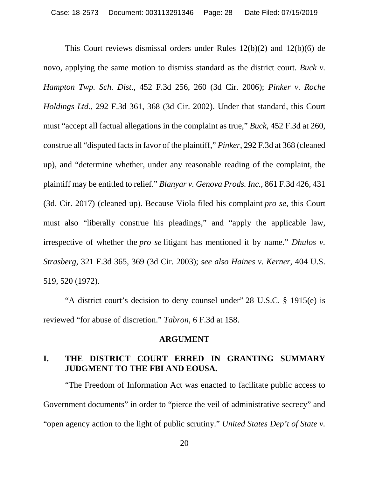<span id="page-27-5"></span><span id="page-27-3"></span>This Court reviews dismissal orders under Rules 12(b)(2) and 12(b)(6) de novo, applying the same motion to dismiss standard as the district court. *Buck v. Hampton Twp. Sch. Dist*., 452 F.3d 256, 260 (3d Cir. 2006); *Pinker v. Roche Holdings Ltd.*, 292 F.3d 361, 368 (3d Cir. 2002). Under that standard, this Court must "accept all factual allegations in the complaint as true," *Buck*, 452 F.3d at 260, construe all "disputed facts in favor of the plaintiff," *Pinker*, 292 F.3d at 368 (cleaned up), and "determine whether, under any reasonable reading of the complaint, the plaintiff may be entitled to relief." *Blanyar v. Genova Prods. Inc.*, 861 F.3d 426, 431 (3d. Cir. 2017) (cleaned up). Because Viola filed his complaint *pro se*, this Court must also "liberally construe his pleadings," and "apply the applicable law, irrespective of whether the *pro se* litigant has mentioned it by name." *Dhulos v. Strasberg*, 321 F.3d 365, 369 (3d Cir. 2003); *see also Haines v. Kerner*, 404 U.S. 519, 520 (1972).

"A district court's decision to deny counsel under" 28 U.S.C. § 1915(e) is reviewed "for abuse of discretion." *Tabron*, 6 F.3d at 158.

## <span id="page-27-6"></span><span id="page-27-4"></span><span id="page-27-2"></span><span id="page-27-0"></span>**ARGUMENT**

## <span id="page-27-1"></span>**I. THE DISTRICT COURT ERRED IN GRANTING SUMMARY JUDGMENT TO THE FBI AND EOUSA.**

"The Freedom of Information Act was enacted to facilitate public access to Government documents" in order to "pierce the veil of administrative secrecy" and "open agency action to the light of public scrutiny." *United States Dep't of State v.*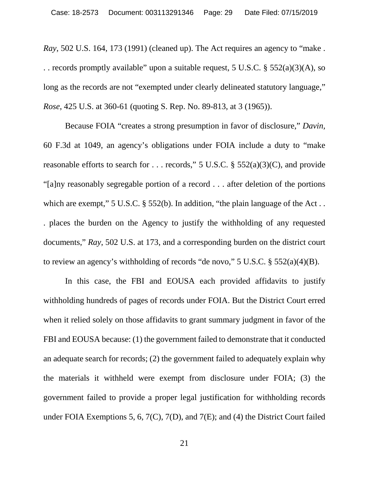*Ray*, 502 U.S. 164, 173 (1991) (cleaned up). The Act requires an agency to "make . . . records promptly available" upon a suitable request, 5 U.S.C. § 552(a)(3)(A), so long as the records are not "exempted under clearly delineated statutory language," *Rose*, 425 U.S. at 360-61 (quoting S. Rep. No. 89-813, at 3 (1965)).

<span id="page-28-0"></span>Because FOIA "creates a strong presumption in favor of disclosure," *Davin,* 60 F.3d at 1049, an agency's obligations under FOIA include a duty to "make reasonable efforts to search for . . . records," 5 U.S.C.  $\S$  552(a)(3)(C), and provide "[a]ny reasonably segregable portion of a record . . . after deletion of the portions which are exempt," 5 U.S.C. § 552(b). In addition, "the plain language of the Act.. . places the burden on the Agency to justify the withholding of any requested documents," *Ray*, 502 U.S. at 173, and a corresponding burden on the district court to review an agency's withholding of records "de novo," 5 U.S.C. § 552(a)(4)(B).

In this case, the FBI and EOUSA each provided affidavits to justify withholding hundreds of pages of records under FOIA. But the District Court erred when it relied solely on those affidavits to grant summary judgment in favor of the FBI and EOUSA because: (1) the government failed to demonstrate that it conducted an adequate search for records; (2) the government failed to adequately explain why the materials it withheld were exempt from disclosure under FOIA; (3) the government failed to provide a proper legal justification for withholding records under FOIA Exemptions 5, 6, 7(C), 7(D), and 7(E); and (4) the District Court failed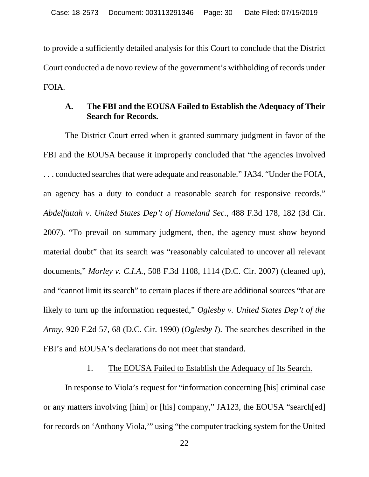to provide a sufficiently detailed analysis for this Court to conclude that the District Court conducted a de novo review of the government's withholding of records under FOIA.

## <span id="page-29-0"></span>**A. The FBI and the EOUSA Failed to Establish the Adequacy of Their Search for Records.**

The District Court erred when it granted summary judgment in favor of the FBI and the EOUSA because it improperly concluded that "the agencies involved . . . conducted searches that were adequate and reasonable." JA34. "Under the FOIA, an agency has a duty to conduct a reasonable search for responsive records." *Abdelfattah v. United States Dep't of Homeland Sec.*, 488 F.3d 178, 182 (3d Cir. 2007). "To prevail on summary judgment, then, the agency must show beyond material doubt" that its search was "reasonably calculated to uncover all relevant documents," *Morley v. C.I.A.*, 508 F.3d 1108, 1114 (D.C. Cir. 2007) (cleaned up), and "cannot limit its search" to certain places if there are additional sources "that are likely to turn up the information requested," *Oglesby v. United States Dep't of the Army*, 920 F.2d 57, 68 (D.C. Cir. 1990) (*Oglesby I*). The searches described in the FBI's and EOUSA's declarations do not meet that standard.

## <span id="page-29-3"></span><span id="page-29-2"></span>1. The EOUSA Failed to Establish the Adequacy of Its Search.

<span id="page-29-1"></span>In response to Viola's request for "information concerning [his] criminal case or any matters involving [him] or [his] company," JA123, the EOUSA "search[ed] for records on 'Anthony Viola,'" using "the computer tracking system for the United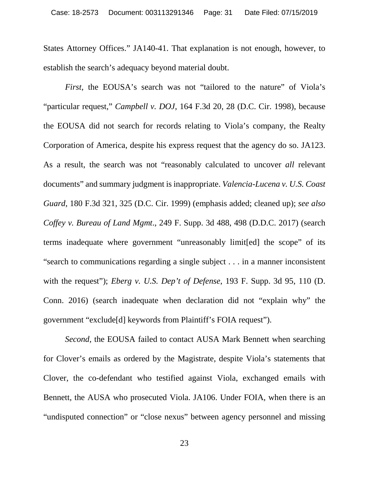States Attorney Offices." JA140-41. That explanation is not enough, however, to establish the search's adequacy beyond material doubt.

<span id="page-30-3"></span><span id="page-30-0"></span>*First*, the EOUSA's search was not "tailored to the nature" of Viola's "particular request," *Campbell v. DOJ*, 164 F.3d 20, 28 (D.C. Cir. 1998), because the EOUSA did not search for records relating to Viola's company, the Realty Corporation of America, despite his express request that the agency do so. JA123. As a result, the search was not "reasonably calculated to uncover *all* relevant documents" and summary judgment is inappropriate. *Valencia-Lucena v. U.S. Coast Guard*, 180 F.3d 321, 325 (D.C. Cir. 1999) (emphasis added; cleaned up); *see also Coffey v. Bureau of Land Mgmt*., 249 F. Supp. 3d 488, 498 (D.D.C. 2017) (search terms inadequate where government "unreasonably limit[ed] the scope" of its "search to communications regarding a single subject . . . in a manner inconsistent with the request"); *Eberg v. U.S. Dep't of Defense*, 193 F. Supp. 3d 95, 110 (D. Conn. 2016) (search inadequate when declaration did not "explain why" the government "exclude[d] keywords from Plaintiff's FOIA request").

<span id="page-30-2"></span><span id="page-30-1"></span>*Second*, the EOUSA failed to contact AUSA Mark Bennett when searching for Clover's emails as ordered by the Magistrate, despite Viola's statements that Clover, the co-defendant who testified against Viola, exchanged emails with Bennett, the AUSA who prosecuted Viola. JA106. Under FOIA, when there is an "undisputed connection" or "close nexus" between agency personnel and missing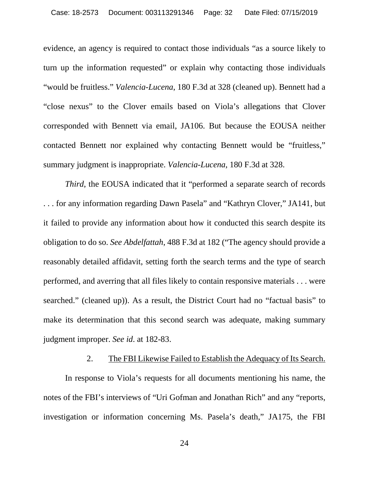<span id="page-31-1"></span>evidence, an agency is required to contact those individuals "as a source likely to turn up the information requested" or explain why contacting those individuals "would be fruitless." *Valencia-Lucena*, 180 F.3d at 328 (cleaned up). Bennett had a "close nexus" to the Clover emails based on Viola's allegations that Clover corresponded with Bennett via email, JA106. But because the EOUSA neither contacted Bennett nor explained why contacting Bennett would be "fruitless," summary judgment is inappropriate. *Valencia-Lucena*, 180 F.3d at 328.

*Third*, the EOUSA indicated that it "performed a separate search of records . . . for any information regarding Dawn Pasela" and "Kathryn Clover," JA141, but it failed to provide any information about how it conducted this search despite its obligation to do so. *See Abdelfattah*, 488 F.3d at 182 ("The agency should provide a reasonably detailed affidavit, setting forth the search terms and the type of search performed, and averring that all files likely to contain responsive materials . . . were searched." (cleaned up)). As a result, the District Court had no "factual basis" to make its determination that this second search was adequate, making summary judgment improper. *See id*. at 182-83.

### 2. The FBI Likewise Failed to Establish the Adequacy of Its Search.

<span id="page-31-0"></span>In response to Viola's requests for all documents mentioning his name, the notes of the FBI's interviews of "Uri Gofman and Jonathan Rich" and any "reports, investigation or information concerning Ms. Pasela's death," JA175, the FBI

24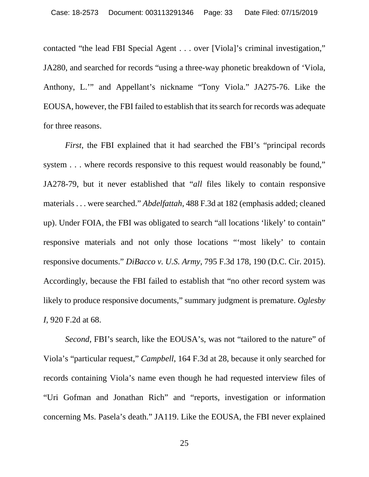contacted "the lead FBI Special Agent . . . over [Viola]'s criminal investigation," JA280, and searched for records "using a three-way phonetic breakdown of 'Viola, Anthony, L.'" and Appellant's nickname "Tony Viola." JA275-76. Like the EOUSA, however, the FBI failed to establish that its search for records was adequate for three reasons.

*First*, the FBI explained that it had searched the FBI's "principal records system . . . where records responsive to this request would reasonably be found," JA278-79, but it never established that "*all* files likely to contain responsive materials . . . were searched." *Abdelfattah*, 488 F.3d at 182 (emphasis added; cleaned up). Under FOIA, the FBI was obligated to search "all locations 'likely' to contain" responsive materials and not only those locations "'most likely' to contain responsive documents." *DiBacco v. U.S. Army*, 795 F.3d 178, 190 (D.C. Cir. 2015). Accordingly, because the FBI failed to establish that "no other record system was likely to produce responsive documents," summary judgment is premature. *Oglesby I*, 920 F.2d at 68.

<span id="page-32-2"></span><span id="page-32-1"></span><span id="page-32-0"></span>*Second*, FBI's search, like the EOUSA's, was not "tailored to the nature" of Viola's "particular request," *Campbell*, 164 F.3d at 28, because it only searched for records containing Viola's name even though he had requested interview files of "Uri Gofman and Jonathan Rich" and "reports, investigation or information concerning Ms. Pasela's death." JA119. Like the EOUSA, the FBI never explained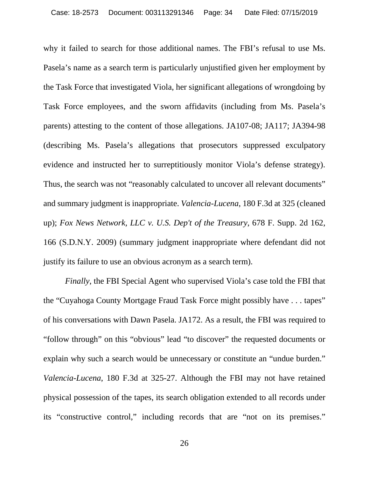why it failed to search for those additional names. The FBI's refusal to use Ms. Pasela's name as a search term is particularly unjustified given her employment by the Task Force that investigated Viola, her significant allegations of wrongdoing by Task Force employees, and the sworn affidavits (including from Ms. Pasela's parents) attesting to the content of those allegations. JA107-08; JA117; JA394-98 (describing Ms. Pasela's allegations that prosecutors suppressed exculpatory evidence and instructed her to surreptitiously monitor Viola's defense strategy). Thus, the search was not "reasonably calculated to uncover all relevant documents" and summary judgment is inappropriate. *Valencia-Lucena*, 180 F.3d at 325 (cleaned up); *Fox News Network, LLC v. U.S. Dep't of the Treasury*, 678 F. Supp. 2d 162, 166 (S.D.N.Y. 2009) (summary judgment inappropriate where defendant did not justify its failure to use an obvious acronym as a search term).

<span id="page-33-1"></span><span id="page-33-0"></span>*Finally*, the FBI Special Agent who supervised Viola's case told the FBI that the "Cuyahoga County Mortgage Fraud Task Force might possibly have . . . tapes" of his conversations with Dawn Pasela. JA172. As a result, the FBI was required to "follow through" on this "obvious" lead "to discover" the requested documents or explain why such a search would be unnecessary or constitute an "undue burden." *Valencia-Lucena*, 180 F.3d at 325-27. Although the FBI may not have retained physical possession of the tapes, its search obligation extended to all records under its "constructive control," including records that are "not on its premises."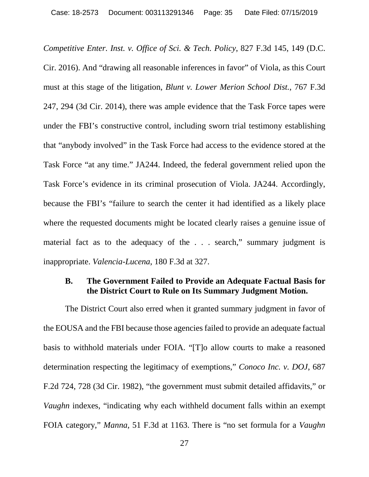<span id="page-34-1"></span>*Competitive Enter. Inst. v. Office of Sci. & Tech. Policy*, 827 F.3d 145, 149 (D.C. Cir. 2016). And "drawing all reasonable inferences in favor" of Viola, as this Court must at this stage of the litigation, *Blunt v. Lower Merion School Dist.*, 767 F.3d 247, 294 (3d Cir. 2014), there was ample evidence that the Task Force tapes were under the FBI's constructive control, including sworn trial testimony establishing that "anybody involved" in the Task Force had access to the evidence stored at the Task Force "at any time." JA244. Indeed, the federal government relied upon the Task Force's evidence in its criminal prosecution of Viola. JA244. Accordingly, because the FBI's "failure to search the center it had identified as a likely place where the requested documents might be located clearly raises a genuine issue of material fact as to the adequacy of the . . . search," summary judgment is inappropriate. *Valencia-Lucena*, 180 F.3d at 327.

## <span id="page-34-4"></span><span id="page-34-2"></span><span id="page-34-0"></span>**B. The Government Failed to Provide an Adequate Factual Basis for the District Court to Rule on Its Summary Judgment Motion.**

<span id="page-34-3"></span>The District Court also erred when it granted summary judgment in favor of the EOUSA and the FBI because those agencies failed to provide an adequate factual basis to withhold materials under FOIA. "[T]o allow courts to make a reasoned determination respecting the legitimacy of exemptions," *Conoco Inc. v. DOJ*, 687 F.2d 724, 728 (3d Cir. 1982), "the government must submit detailed affidavits," or *Vaughn* indexes, "indicating why each withheld document falls within an exempt FOIA category," *Manna*, 51 F.3d at 1163. There is "no set formula for a *Vaughn*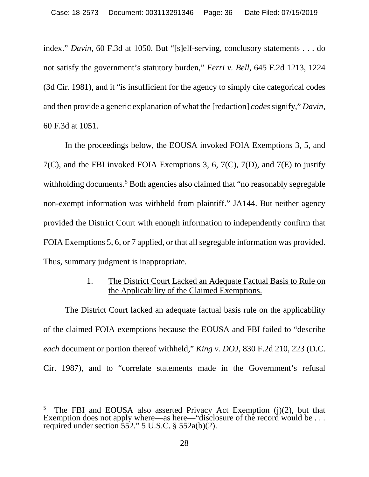index." *Davin*, 60 F.3d at 1050. But "[s]elf-serving, conclusory statements . . . do not satisfy the government's statutory burden," *Ferri v. Bell*, 645 F.2d 1213, 1224 (3d Cir. 1981), and it "is insufficient for the agency to simply cite categorical codes and then provide a generic explanation of what the [redaction] *codes* signify," *Davin*, 60 F.3d at 1051.

In the proceedings below, the EOUSA invoked FOIA Exemptions 3, 5, and 7(C), and the FBI invoked FOIA Exemptions 3, 6, 7(C), 7(D), and 7(E) to justify withholding documents.<sup>[5](#page-35-3)</sup> Both agencies also claimed that "no reasonably segregable non-exempt information was withheld from plaintiff." JA144. But neither agency provided the District Court with enough information to independently confirm that FOIA Exemptions 5, 6, or 7 applied, or that all segregable information was provided. Thus, summary judgment is inappropriate.

## <span id="page-35-1"></span>1. The District Court Lacked an Adequate Factual Basis to Rule on the Applicability of the Claimed Exemptions.

<span id="page-35-0"></span>The District Court lacked an adequate factual basis rule on the applicability of the claimed FOIA exemptions because the EOUSA and FBI failed to "describe *each* document or portion thereof withheld," *King v. DOJ*, 830 F.2d 210, 223 (D.C. Cir. 1987), and to "correlate statements made in the Government's refusal

<span id="page-35-3"></span><span id="page-35-2"></span> <sup>5</sup> The FBI and EOUSA also asserted Privacy Act Exemption (j)(2), but that Exemption does not apply where—as here—"disclosure of the record would be ... required under section  $552$ ." 5 U.S.C. §  $552a(b)(2)$ .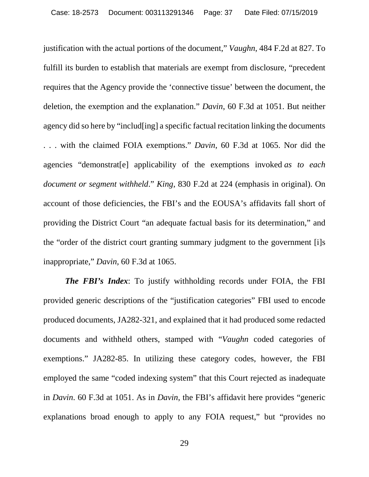justification with the actual portions of the document," *Vaughn*, 484 F.2d at 827. To fulfill its burden to establish that materials are exempt from disclosure, "precedent requires that the Agency provide the 'connective tissue' between the document, the deletion, the exemption and the explanation." *Davin*, 60 F.3d at 1051. But neither agency did so here by "includ[ing] a specific factual recitation linking the documents . . . with the claimed FOIA exemptions." *Davin*, 60 F.3d at 1065. Nor did the agencies "demonstrat[e] applicability of the exemptions invoked *as to each document or segment withheld*." *King*, 830 F.2d at 224 (emphasis in original). On account of those deficiencies, the FBI's and the EOUSA's affidavits fall short of providing the District Court "an adequate factual basis for its determination," and the "order of the district court granting summary judgment to the government [i]s inappropriate," *Davin,* 60 F.3d at 1065.

*The FBI's Index*: To justify withholding records under FOIA, the FBI provided generic descriptions of the "justification categories" FBI used to encode produced documents, JA282-321, and explained that it had produced some redacted documents and withheld others, stamped with "*Vaughn* coded categories of exemptions." JA282-85. In utilizing these category codes, however, the FBI employed the same "coded indexing system" that this Court rejected as inadequate in *Davin*. 60 F.3d at 1051. As in *Davin*, the FBI's affidavit here provides "generic explanations broad enough to apply to any FOIA request," but "provides no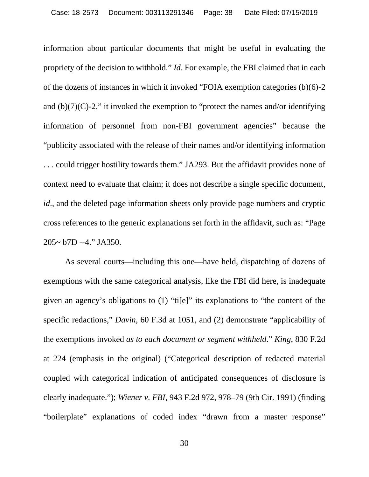information about particular documents that might be useful in evaluating the propriety of the decision to withhold." *Id*. For example, the FBI claimed that in each of the dozens of instances in which it invoked "FOIA exemption categories (b)(6)-2 and  $(b)(7)(C)-2$ ," it invoked the exemption to "protect the names and/or identifying information of personnel from non-FBI government agencies" because the "publicity associated with the release of their names and/or identifying information . . . could trigger hostility towards them." JA293. But the affidavit provides none of context need to evaluate that claim; it does not describe a single specific document, *id*., and the deleted page information sheets only provide page numbers and cryptic cross references to the generic explanations set forth in the affidavit, such as: "Page 205~ b7D --4." JA350.

<span id="page-37-1"></span><span id="page-37-0"></span>As several courts—including this one—have held, dispatching of dozens of exemptions with the same categorical analysis, like the FBI did here, is inadequate given an agency's obligations to (1) "ti[e]" its explanations to "the content of the specific redactions," *Davin*, 60 F.3d at 1051, and (2) demonstrate "applicability of the exemptions invoked *as to each document or segment withheld*." *King*, 830 F.2d at 224 (emphasis in the original) ("Categorical description of redacted material coupled with categorical indication of anticipated consequences of disclosure is clearly inadequate."); *Wiener v. FBI*, 943 F.2d 972, 978–79 (9th Cir. 1991) (finding "boilerplate" explanations of coded index "drawn from a master response"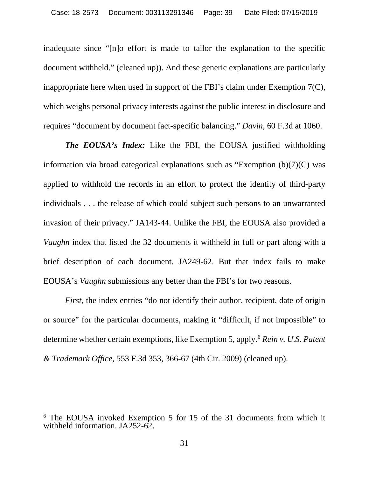inadequate since "[n]o effort is made to tailor the explanation to the specific document withheld." (cleaned up)). And these generic explanations are particularly inappropriate here when used in support of the FBI's claim under Exemption 7(C), which weighs personal privacy interests against the public interest in disclosure and requires "document by document fact-specific balancing." *Davin*, 60 F.3d at 1060.

*The EOUSA's Index:* Like the FBI, the EOUSA justified withholding information via broad categorical explanations such as "Exemption (b)(7)(C) was applied to withhold the records in an effort to protect the identity of third-party individuals . . . the release of which could subject such persons to an unwarranted invasion of their privacy." JA143-44. Unlike the FBI, the EOUSA also provided a *Vaughn* index that listed the 32 documents it withheld in full or part along with a brief description of each document. JA249-62. But that index fails to make EOUSA's *Vaughn* submissions any better than the FBI's for two reasons.

<span id="page-38-0"></span>*First*, the index entries "do not identify their author, recipient, date of origin or source" for the particular documents, making it "difficult, if not impossible" to determine whether certain exemptions, like Exemption 5, apply.[6](#page-38-1) *Rein v. U.S. Patent & Trademark Office*, 553 F.3d 353, 366-67 (4th Cir. 2009) (cleaned up).

<span id="page-38-1"></span> <sup>6</sup> The EOUSA invoked Exemption 5 for 15 of the 31 documents from which it withheld information. JA252-62.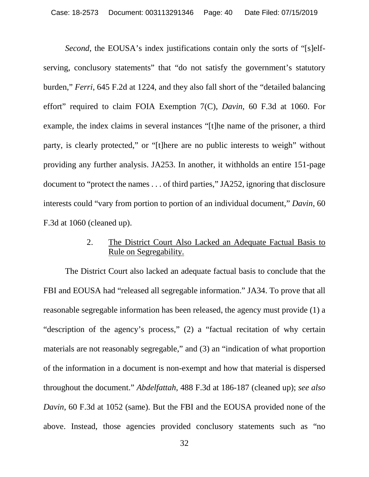*Second*, the EOUSA's index justifications contain only the sorts of "[s]elfserving, conclusory statements" that "do not satisfy the government's statutory burden," *Ferri*, 645 F.2d at 1224, and they also fall short of the "detailed balancing effort" required to claim FOIA Exemption 7(C), *Davin*, 60 F.3d at 1060. For example, the index claims in several instances "[t]he name of the prisoner, a third party, is clearly protected," or "[t]here are no public interests to weigh" without providing any further analysis. JA253. In another, it withholds an entire 151-page document to "protect the names . . . of third parties," JA252, ignoring that disclosure interests could "vary from portion to portion of an individual document," *Davin*, 60 F.3d at 1060 (cleaned up).

## 2. The District Court Also Lacked an Adequate Factual Basis to Rule on Segregability.

<span id="page-39-0"></span>The District Court also lacked an adequate factual basis to conclude that the FBI and EOUSA had "released all segregable information." JA34. To prove that all reasonable segregable information has been released, the agency must provide (1) a "description of the agency's process," (2) a "factual recitation of why certain materials are not reasonably segregable," and (3) an "indication of what proportion of the information in a document is non-exempt and how that material is dispersed throughout the document." *Abdelfattah*, 488 F.3d at 186-187 (cleaned up); *see also Davin*, 60 F.3d at 1052 (same). But the FBI and the EOUSA provided none of the above. Instead, those agencies provided conclusory statements such as "no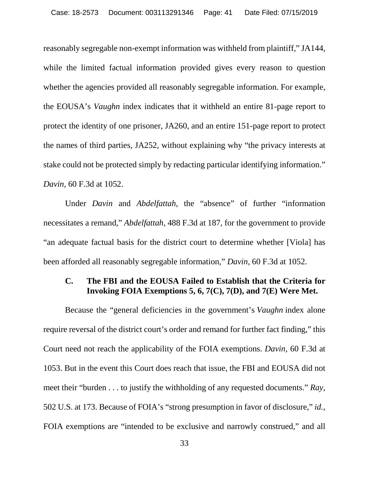reasonably segregable non-exempt information was withheld from plaintiff," JA144, while the limited factual information provided gives every reason to question whether the agencies provided all reasonably segregable information. For example, the EOUSA's *Vaughn* index indicates that it withheld an entire 81-page report to protect the identity of one prisoner, JA260, and an entire 151-page report to protect the names of third parties, JA252, without explaining why "the privacy interests at stake could not be protected simply by redacting particular identifying information." *Davin,* 60 F.3d at 1052.

Under *Davin* and *Abdelfattah*, the "absence" of further "information necessitates a remand," *Abdelfattah*, 488 F.3d at 187, for the government to provide "an adequate factual basis for the district court to determine whether [Viola] has been afforded all reasonably segregable information," *Davin*, 60 F.3d at 1052.

## <span id="page-40-0"></span>**C. The FBI and the EOUSA Failed to Establish that the Criteria for Invoking FOIA Exemptions 5, 6, 7(C), 7(D), and 7(E) Were Met.**

Because the "general deficiencies in the government's *Vaughn* index alone require reversal of the district court's order and remand for further fact finding," this Court need not reach the applicability of the FOIA exemptions. *Davin*, 60 F.3d at 1053. But in the event this Court does reach that issue, the FBI and EOUSA did not meet their "burden . . . to justify the withholding of any requested documents." *Ray*, 502 U.S. at 173. Because of FOIA's "strong presumption in favor of disclosure," *id.*, FOIA exemptions are "intended to be exclusive and narrowly construed," and all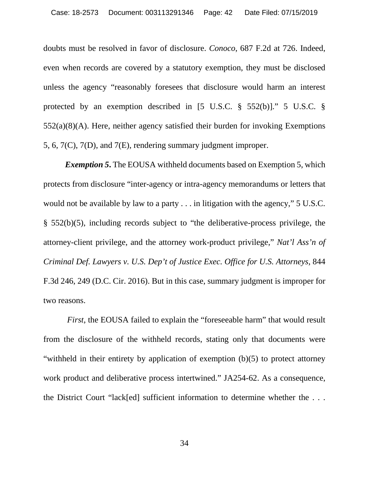<span id="page-41-0"></span>doubts must be resolved in favor of disclosure. *Conoco*, 687 F.2d at 726. Indeed, even when records are covered by a statutory exemption, they must be disclosed unless the agency "reasonably foresees that disclosure would harm an interest protected by an exemption described in [5 U.S.C. § 552(b)]." 5 U.S.C. § 552(a)(8)(A). Here, neither agency satisfied their burden for invoking Exemptions 5, 6, 7(C), 7(D), and 7(E), rendering summary judgment improper.

<span id="page-41-2"></span><span id="page-41-1"></span>*Exemption 5***.** The EOUSA withheld documents based on Exemption 5, which protects from disclosure "inter-agency or intra-agency memorandums or letters that would not be available by law to a party . . . in litigation with the agency," 5 U.S.C. § 552(b)(5), including records subject to "the deliberative-process privilege, the attorney-client privilege, and the attorney work-product privilege," *Nat'l Ass'n of Criminal Def. Lawyers v. U.S. Dep't of Justice Exec. Office for U.S. Attorneys*, 844 F.3d 246, 249 (D.C. Cir. 2016). But in this case, summary judgment is improper for two reasons.

*First*, the EOUSA failed to explain the "foreseeable harm" that would result from the disclosure of the withheld records, stating only that documents were "withheld in their entirety by application of exemption (b)(5) to protect attorney work product and deliberative process intertwined." JA254-62. As a consequence, the District Court "lack[ed] sufficient information to determine whether the . . .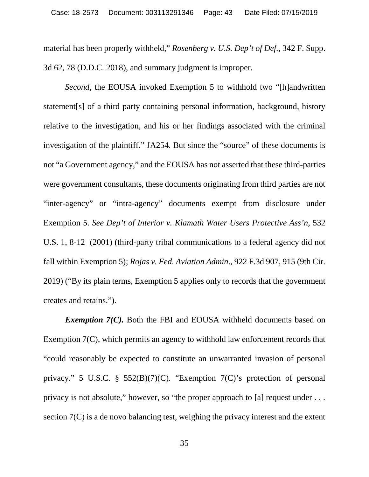material has been properly withheld," *Rosenberg v. U.S. Dep't of Def.*, 342 F. Supp. 3d 62, 78 (D.D.C. 2018), and summary judgment is improper.

*Second*, the EOUSA invoked Exemption 5 to withhold two "[h]andwritten statement[s] of a third party containing personal information, background, history relative to the investigation, and his or her findings associated with the criminal investigation of the plaintiff." JA254. But since the "source" of these documents is not "a Government agency," and the EOUSA has not asserted that these third-parties were government consultants, these documents originating from third parties are not "inter-agency" or "intra-agency" documents exempt from disclosure under Exemption 5. *See Dep't of Interior v. Klamath Water Users Protective Ass'n*, 532 U.S. 1, 8-12 (2001) (third-party tribal communications to a federal agency did not fall within Exemption 5); *Rojas v. Fed. Aviation Admin*., 922 F.3d 907, 915 (9th Cir. 2019) ("By its plain terms, Exemption 5 applies only to records that the government creates and retains.").

<span id="page-42-1"></span><span id="page-42-0"></span>*Exemption 7(C)*. Both the FBI and EOUSA withheld documents based on Exemption 7(C), which permits an agency to withhold law enforcement records that "could reasonably be expected to constitute an unwarranted invasion of personal privacy." 5 U.S.C. § 552(B)(7)(C). "Exemption 7(C)'s protection of personal privacy is not absolute," however, so "the proper approach to [a] request under . . . section 7(C) is a de novo balancing test, weighing the privacy interest and the extent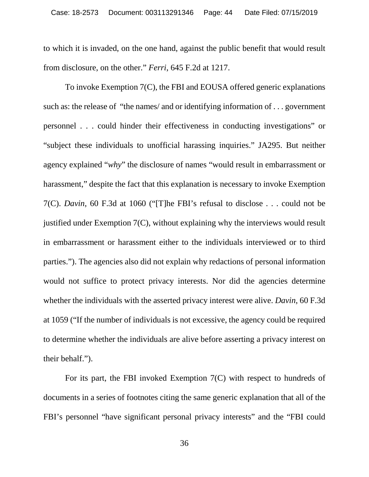to which it is invaded, on the one hand, against the public benefit that would result from disclosure, on the other." *Ferri*, 645 F.2d at 1217.

To invoke Exemption 7(C), the FBI and EOUSA offered generic explanations such as: the release of "the names/ and or identifying information of . . . government personnel . . . could hinder their effectiveness in conducting investigations" or "subject these individuals to unofficial harassing inquiries." JA295. But neither agency explained "*why*" the disclosure of names "would result in embarrassment or harassment," despite the fact that this explanation is necessary to invoke Exemption 7(C). *Davin*, 60 F.3d at 1060 ("[T]he FBI's refusal to disclose . . . could not be justified under Exemption 7(C), without explaining why the interviews would result in embarrassment or harassment either to the individuals interviewed or to third parties."). The agencies also did not explain why redactions of personal information would not suffice to protect privacy interests. Nor did the agencies determine whether the individuals with the asserted privacy interest were alive. *Davin*, 60 F.3d at 1059 ("If the number of individuals is not excessive, the agency could be required to determine whether the individuals are alive before asserting a privacy interest on their behalf.").

For its part, the FBI invoked Exemption 7(C) with respect to hundreds of documents in a series of footnotes citing the same generic explanation that all of the FBI's personnel "have significant personal privacy interests" and the "FBI could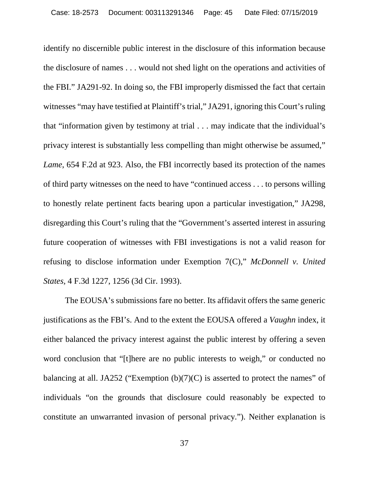identify no discernible public interest in the disclosure of this information because the disclosure of names . . . would not shed light on the operations and activities of the FBI." JA291-92. In doing so, the FBI improperly dismissed the fact that certain witnesses "may have testified at Plaintiff's trial," JA291, ignoring this Court's ruling that "information given by testimony at trial . . . may indicate that the individual's privacy interest is substantially less compelling than might otherwise be assumed," *Lame*, 654 F.2d at 923. Also, the FBI incorrectly based its protection of the names of third party witnesses on the need to have "continued access . . . to persons willing to honestly relate pertinent facts bearing upon a particular investigation," JA298, disregarding this Court's ruling that the "Government's asserted interest in assuring future cooperation of witnesses with FBI investigations is not a valid reason for refusing to disclose information under Exemption 7(C)," *McDonnell v. United States,* 4 F.3d 1227, 1256 (3d Cir. 1993).

The EOUSA's submissions fare no better. Its affidavit offers the same generic justifications as the FBI's. And to the extent the EOUSA offered a *Vaughn* index, it either balanced the privacy interest against the public interest by offering a seven word conclusion that "[t]here are no public interests to weigh," or conducted no balancing at all. JA252 ("Exemption  $(b)(7)(C)$  is asserted to protect the names" of individuals "on the grounds that disclosure could reasonably be expected to constitute an unwarranted invasion of personal privacy."). Neither explanation is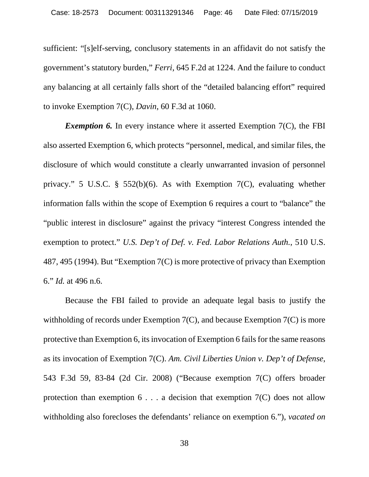sufficient: "[s]elf-serving, conclusory statements in an affidavit do not satisfy the government's statutory burden," *Ferri*, 645 F.2d at 1224. And the failure to conduct any balancing at all certainly falls short of the "detailed balancing effort" required to invoke Exemption 7(C), *Davin*, 60 F.3d at 1060.

<span id="page-45-2"></span>*Exemption 6.* In every instance where it asserted Exemption 7(C), the FBI also asserted Exemption 6, which protects "personnel, medical, and similar files, the disclosure of which would constitute a clearly unwarranted invasion of personnel privacy." 5 U.S.C. § 552(b)(6). As with Exemption 7(C), evaluating whether information falls within the scope of Exemption 6 requires a court to "balance" the "public interest in disclosure" against the privacy "interest Congress intended the exemption to protect." *U.S. Dep't of Def. v. Fed. Labor Relations Auth.*, 510 U.S. 487, 495 (1994). But "Exemption 7(C) is more protective of privacy than Exemption 6." *Id.* at 496 n.6.

<span id="page-45-1"></span><span id="page-45-0"></span>Because the FBI failed to provide an adequate legal basis to justify the withholding of records under Exemption 7(C), and because Exemption 7(C) is more protective than Exemption 6, its invocation of Exemption 6 fails for the same reasons as its invocation of Exemption 7(C). *Am. Civil Liberties Union v. Dep't of Defense*, 543 F.3d 59, 83-84 (2d Cir. 2008) ("Because exemption 7(C) offers broader protection than exemption  $6 \ldots$  a decision that exemption  $7(C)$  does not allow withholding also forecloses the defendants' reliance on exemption 6."), *vacated on*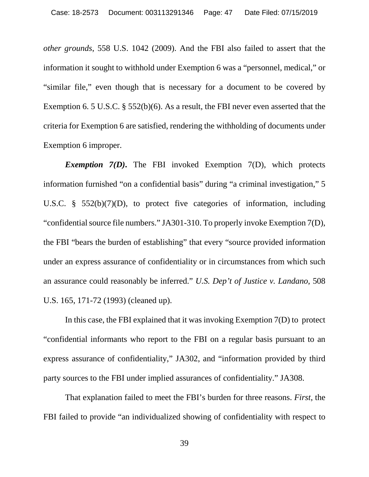*other grounds*, 558 U.S. 1042 (2009). And the FBI also failed to assert that the information it sought to withhold under Exemption 6 was a "personnel, medical," or "similar file," even though that is necessary for a document to be covered by Exemption 6. 5 U.S.C. § 552(b)(6). As a result, the FBI never even asserted that the criteria for Exemption 6 are satisfied, rendering the withholding of documents under Exemption 6 improper.

*Exemption 7(D)***.** The FBI invoked Exemption 7(D), which protects information furnished "on a confidential basis" during "a criminal investigation," 5 U.S.C. § 552(b)(7)(D), to protect five categories of information, including "confidential source file numbers." JA301-310. To properly invoke Exemption 7(D), the FBI "bears the burden of establishing" that every "source provided information under an express assurance of confidentiality or in circumstances from which such an assurance could reasonably be inferred." *U.S. Dep't of Justice v. Landano*, 508 U.S. 165, 171-72 (1993) (cleaned up).

<span id="page-46-0"></span>In this case, the FBI explained that it was invoking Exemption 7(D) to protect "confidential informants who report to the FBI on a regular basis pursuant to an express assurance of confidentiality," JA302, and "information provided by third party sources to the FBI under implied assurances of confidentiality." JA308.

That explanation failed to meet the FBI's burden for three reasons. *First*, the FBI failed to provide "an individualized showing of confidentiality with respect to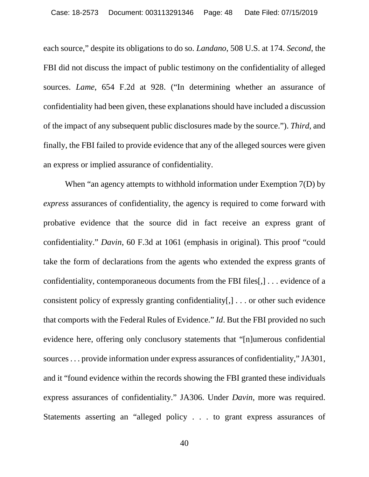each source," despite its obligations to do so. *Landano*, 508 U.S. at 174. *Second*, the FBI did not discuss the impact of public testimony on the confidentiality of alleged sources. *Lame*, 654 F.2d at 928. ("In determining whether an assurance of confidentiality had been given, these explanations should have included a discussion of the impact of any subsequent public disclosures made by the source."). *Third*, and finally, the FBI failed to provide evidence that any of the alleged sources were given an express or implied assurance of confidentiality.

When "an agency attempts to withhold information under Exemption 7(D) by *express* assurances of confidentiality, the agency is required to come forward with probative evidence that the source did in fact receive an express grant of confidentiality." *Davin*, 60 F.3d at 1061 (emphasis in original). This proof "could take the form of declarations from the agents who extended the express grants of confidentiality, contemporaneous documents from the FBI files[,] . . . evidence of a consistent policy of expressly granting confidentiality[,] . . . or other such evidence that comports with the Federal Rules of Evidence." *Id*. But the FBI provided no such evidence here, offering only conclusory statements that "[n]umerous confidential sources . . . provide information under express assurances of confidentiality," JA301, and it "found evidence within the records showing the FBI granted these individuals express assurances of confidentiality." JA306. Under *Davin*, more was required. Statements asserting an "alleged policy . . . to grant express assurances of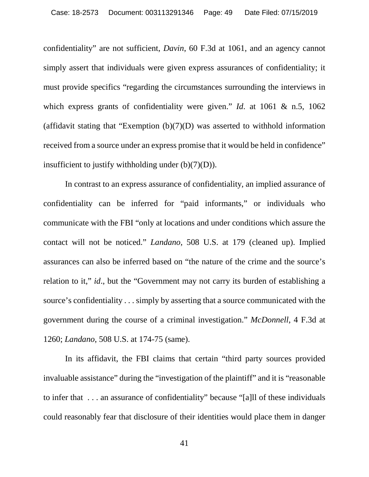confidentiality" are not sufficient, *Davin*, 60 F.3d at 1061, and an agency cannot simply assert that individuals were given express assurances of confidentiality; it must provide specifics "regarding the circumstances surrounding the interviews in which express grants of confidentiality were given." *Id*. at 1061 & n.5, 1062 (affidavit stating that "Exemption  $(b)(7)(D)$  was asserted to withhold information received from a source under an express promise that it would be held in confidence" insufficient to justify withholding under  $(b)(7)(D)$ ).

<span id="page-48-0"></span>In contrast to an express assurance of confidentiality, an implied assurance of confidentiality can be inferred for "paid informants," or individuals who communicate with the FBI "only at locations and under conditions which assure the contact will not be noticed." *Landano*, 508 U.S. at 179 (cleaned up). Implied assurances can also be inferred based on "the nature of the crime and the source's relation to it," *id*., but the "Government may not carry its burden of establishing a source's confidentiality . . . simply by asserting that a source communicated with the government during the course of a criminal investigation." *McDonnell*, 4 F.3d at 1260; *Landano*, 508 U.S. at 174-75 (same).

In its affidavit, the FBI claims that certain "third party sources provided invaluable assistance" during the "investigation of the plaintiff" and it is "reasonable to infer that . . . an assurance of confidentiality" because "[a]ll of these individuals could reasonably fear that disclosure of their identities would place them in danger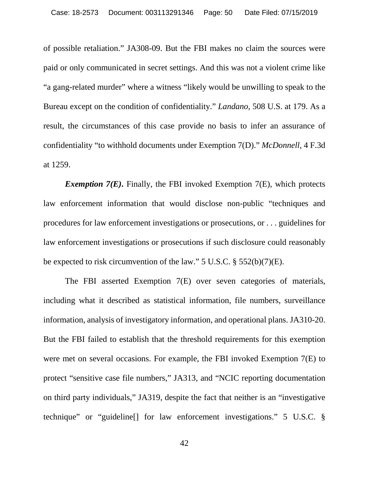<span id="page-49-0"></span>of possible retaliation." JA308-09. But the FBI makes no claim the sources were paid or only communicated in secret settings. And this was not a violent crime like "a gang-related murder" where a witness "likely would be unwilling to speak to the Bureau except on the condition of confidentiality." *Landano*, 508 U.S. at 179. As a result, the circumstances of this case provide no basis to infer an assurance of confidentiality "to withhold documents under Exemption 7(D)." *McDonnell*, 4 F.3d at 1259.

*Exemption 7(E)***.** Finally, the FBI invoked Exemption 7(E), which protects law enforcement information that would disclose non-public "techniques and procedures for law enforcement investigations or prosecutions, or . . . guidelines for law enforcement investigations or prosecutions if such disclosure could reasonably be expected to risk circumvention of the law." 5 U.S.C. § 552(b)(7)(E).

The FBI asserted Exemption 7(E) over seven categories of materials, including what it described as statistical information, file numbers, surveillance information, analysis of investigatory information, and operational plans. JA310-20. But the FBI failed to establish that the threshold requirements for this exemption were met on several occasions. For example, the FBI invoked Exemption 7(E) to protect "sensitive case file numbers," JA313, and "NCIC reporting documentation on third party individuals," JA319, despite the fact that neither is an "investigative technique" or "guideline[] for law enforcement investigations." 5 U.S.C. §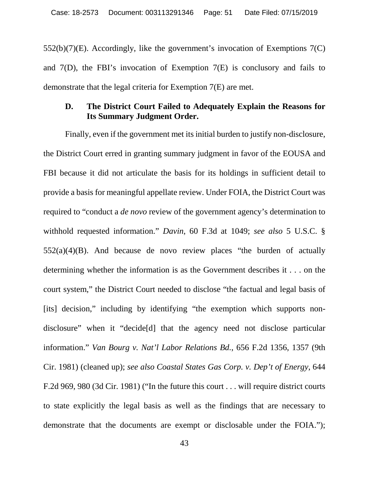552(b)(7)(E). Accordingly, like the government's invocation of Exemptions 7(C) and 7(D), the FBI's invocation of Exemption 7(E) is conclusory and fails to demonstrate that the legal criteria for Exemption 7(E) are met.

## <span id="page-50-0"></span>**D. The District Court Failed to Adequately Explain the Reasons for Its Summary Judgment Order.**

<span id="page-50-1"></span>Finally, even if the government met its initial burden to justify non-disclosure, the District Court erred in granting summary judgment in favor of the EOUSA and FBI because it did not articulate the basis for its holdings in sufficient detail to provide a basis for meaningful appellate review. Under FOIA, the District Court was required to "conduct a *de novo* review of the government agency's determination to withhold requested information." *Davin*, 60 F.3d at 1049; *see also* 5 U.S.C. §  $552(a)(4)(B)$ . And because de novo review places "the burden of actually determining whether the information is as the Government describes it . . . on the court system," the District Court needed to disclose "the factual and legal basis of [its] decision," including by identifying "the exemption which supports nondisclosure" when it "decide[d] that the agency need not disclose particular information." *Van Bourg v. Nat'l Labor Relations Bd.*, 656 F.2d 1356, 1357 (9th Cir. 1981) (cleaned up); *see also Coastal States Gas Corp. v. Dep't of Energy*, 644 F.2d 969, 980 (3d Cir. 1981) ("In the future this court . . . will require district courts to state explicitly the legal basis as well as the findings that are necessary to demonstrate that the documents are exempt or disclosable under the FOIA.");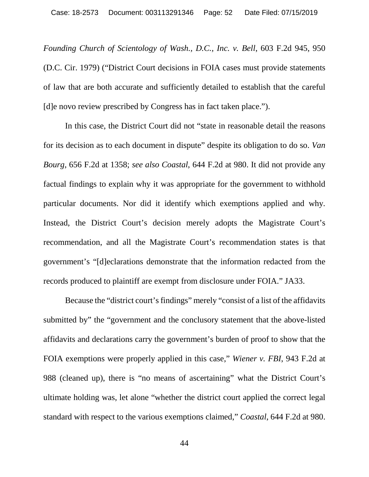<span id="page-51-0"></span>*Founding Church of Scientology of Wash., D.C., Inc. v. Bell*, 603 F.2d 945, 950 (D.C. Cir. 1979) ("District Court decisions in FOIA cases must provide statements of law that are both accurate and sufficiently detailed to establish that the careful [d]e novo review prescribed by Congress has in fact taken place.").

<span id="page-51-1"></span>In this case, the District Court did not "state in reasonable detail the reasons for its decision as to each document in dispute" despite its obligation to do so. *Van Bourg*, 656 F.2d at 1358; *see also Coastal*, 644 F.2d at 980. It did not provide any factual findings to explain why it was appropriate for the government to withhold particular documents. Nor did it identify which exemptions applied and why. Instead, the District Court's decision merely adopts the Magistrate Court's recommendation, and all the Magistrate Court's recommendation states is that government's "[d]eclarations demonstrate that the information redacted from the records produced to plaintiff are exempt from disclosure under FOIA." JA33.

<span id="page-51-2"></span>Because the "district court's findings" merely "consist of a list of the affidavits submitted by" the "government and the conclusory statement that the above-listed affidavits and declarations carry the government's burden of proof to show that the FOIA exemptions were properly applied in this case," *Wiener v. FBI*, 943 F.2d at 988 (cleaned up), there is "no means of ascertaining" what the District Court's ultimate holding was, let alone "whether the district court applied the correct legal standard with respect to the various exemptions claimed," *Coastal*, 644 F.2d at 980.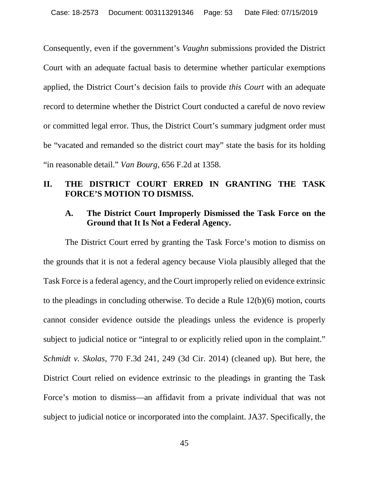Consequently, even if the government's *Vaughn* submissions provided the District Court with an adequate factual basis to determine whether particular exemptions applied, the District Court's decision fails to provide *this Court* with an adequate record to determine whether the District Court conducted a careful de novo review or committed legal error. Thus, the District Court's summary judgment order must be "vacated and remanded so the district court may" state the basis for its holding "in reasonable detail." *Van Bourg*, 656 F.2d at 1358.

## <span id="page-52-0"></span>**II. THE DISTRICT COURT ERRED IN GRANTING THE TASK FORCE'S MOTION TO DISMISS.**

## <span id="page-52-3"></span><span id="page-52-1"></span>**A. The District Court Improperly Dismissed the Task Force on the Ground that It Is Not a Federal Agency.**

<span id="page-52-2"></span>The District Court erred by granting the Task Force's motion to dismiss on the grounds that it is not a federal agency because Viola plausibly alleged that the Task Force is a federal agency, and the Court improperly relied on evidence extrinsic to the pleadings in concluding otherwise. To decide a Rule 12(b)(6) motion, courts cannot consider evidence outside the pleadings unless the evidence is properly subject to judicial notice or "integral to or explicitly relied upon in the complaint." *Schmidt v. Skolas*, 770 F.3d 241, 249 (3d Cir. 2014) (cleaned up). But here, the District Court relied on evidence extrinsic to the pleadings in granting the Task Force's motion to dismiss—an affidavit from a private individual that was not subject to judicial notice or incorporated into the complaint. JA37. Specifically, the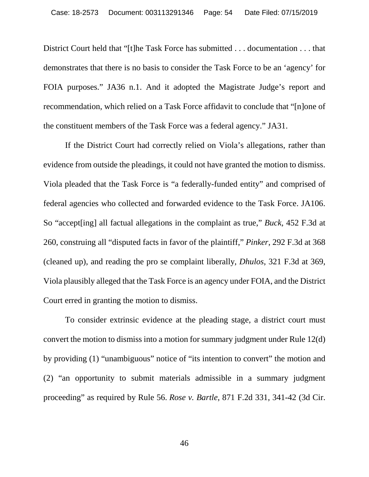District Court held that "[t]he Task Force has submitted . . . documentation . . . that demonstrates that there is no basis to consider the Task Force to be an 'agency' for FOIA purposes." JA36 n.1. And it adopted the Magistrate Judge's report and recommendation, which relied on a Task Force affidavit to conclude that "[n]one of the constituent members of the Task Force was a federal agency." JA31.

<span id="page-53-0"></span>If the District Court had correctly relied on Viola's allegations, rather than evidence from outside the pleadings, it could not have granted the motion to dismiss. Viola pleaded that the Task Force is "a federally-funded entity" and comprised of federal agencies who collected and forwarded evidence to the Task Force. JA106. So "accept[ing] all factual allegations in the complaint as true," *Buck*, 452 F.3d at 260, construing all "disputed facts in favor of the plaintiff," *Pinker*, 292 F.3d at 368 (cleaned up), and reading the pro se complaint liberally, *Dhulos*, 321 F.3d at 369, Viola plausibly alleged that the Task Force is an agency under FOIA, and the District Court erred in granting the motion to dismiss.

To consider extrinsic evidence at the pleading stage, a district court must convert the motion to dismiss into a motion for summary judgment under Rule 12(d) by providing (1) "unambiguous" notice of "its intention to convert" the motion and (2) "an opportunity to submit materials admissible in a summary judgment proceeding" as required by Rule 56. *Rose v. Bartle*, 871 F.2d 331, 341-42 (3d Cir.

<span id="page-53-2"></span><span id="page-53-1"></span>46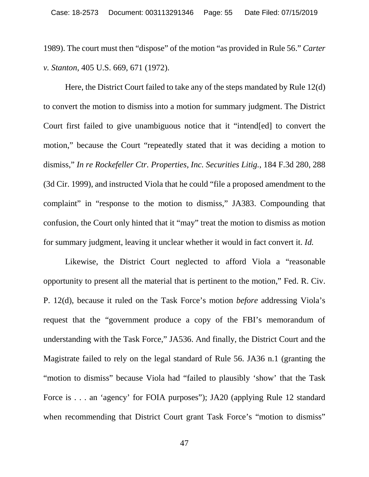<span id="page-54-0"></span>1989). The court must then "dispose" of the motion "as provided in Rule 56." *Carter v. Stanton*, 405 U.S. 669, 671 (1972).

Here, the District Court failed to take any of the steps mandated by Rule 12(d) to convert the motion to dismiss into a motion for summary judgment. The District Court first failed to give unambiguous notice that it "intend[ed] to convert the motion," because the Court "repeatedly stated that it was deciding a motion to dismiss," *In re Rockefeller Ctr. Properties, Inc. Securities Litig.*, 184 F.3d 280, 288 (3d Cir. 1999), and instructed Viola that he could "file a proposed amendment to the complaint" in "response to the motion to dismiss," JA383. Compounding that confusion, the Court only hinted that it "may" treat the motion to dismiss as motion for summary judgment, leaving it unclear whether it would in fact convert it. *Id.*

Likewise, the District Court neglected to afford Viola a "reasonable opportunity to present all the material that is pertinent to the motion," Fed. R. Civ. P. 12(d), because it ruled on the Task Force's motion *before* addressing Viola's request that the "government produce a copy of the FBI's memorandum of understanding with the Task Force," JA536. And finally, the District Court and the Magistrate failed to rely on the legal standard of Rule 56. JA36 n.1 (granting the "motion to dismiss" because Viola had "failed to plausibly 'show' that the Task Force is . . . an 'agency' for FOIA purposes''); JA20 (applying Rule 12 standard when recommending that District Court grant Task Force's "motion to dismiss"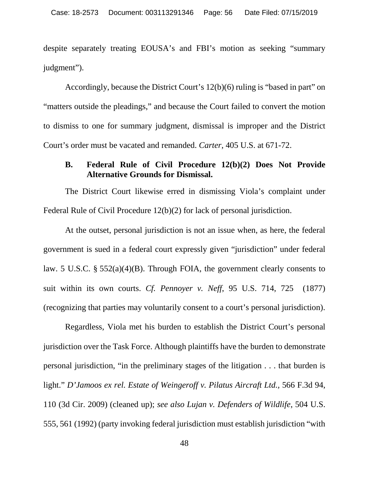despite separately treating EOUSA's and FBI's motion as seeking "summary judgment").

Accordingly, because the District Court's 12(b)(6) ruling is "based in part" on "matters outside the pleadings," and because the Court failed to convert the motion to dismiss to one for summary judgment, dismissal is improper and the District Court's order must be vacated and remanded. *Carter*, 405 U.S. at 671-72.

## <span id="page-55-1"></span><span id="page-55-0"></span>**B. Federal Rule of Civil Procedure 12(b)(2) Does Not Provide Alternative Grounds for Dismissal.**

The District Court likewise erred in dismissing Viola's complaint under Federal Rule of Civil Procedure 12(b)(2) for lack of personal jurisdiction.

At the outset, personal jurisdiction is not an issue when, as here, the federal government is sued in a federal court expressly given "jurisdiction" under federal law. 5 U.S.C. § 552(a)(4)(B). Through FOIA, the government clearly consents to suit within its own courts. *Cf. Pennoyer v. Neff*, 95 U.S. 714, 725 (1877) (recognizing that parties may voluntarily consent to a court's personal jurisdiction).

<span id="page-55-2"></span>Regardless, Viola met his burden to establish the District Court's personal jurisdiction over the Task Force. Although plaintiffs have the burden to demonstrate personal jurisdiction, "in the preliminary stages of the litigation . . . that burden is light." *D'Jamoos ex rel. Estate of Weingeroff v. Pilatus Aircraft Ltd.,* 566 F.3d 94, 110 (3d Cir. 2009) (cleaned up); *see also Lujan v. Defenders of Wildlife*, 504 U.S. 555, 561 (1992) (party invoking federal jurisdiction must establish jurisdiction "with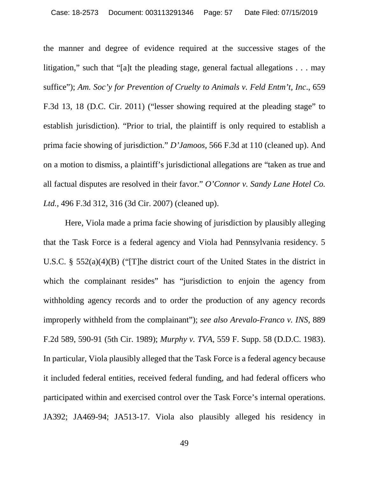the manner and degree of evidence required at the successive stages of the litigation," such that "[a]t the pleading stage, general factual allegations . . . may suffice"); *Am. Soc'y for Prevention of Cruelty to Animals v. Feld Entm't, Inc*., 659 F.3d 13, 18 (D.C. Cir. 2011) ("lesser showing required at the pleading stage" to establish jurisdiction). "Prior to trial, the plaintiff is only required to establish a prima facie showing of jurisdiction." *D'Jamoos*, 566 F.3d at 110 (cleaned up). And on a motion to dismiss, a plaintiff's jurisdictional allegations are "taken as true and all factual disputes are resolved in their favor." *O'Connor v. Sandy Lane Hotel Co. Ltd.*, 496 F.3d 312, 316 (3d Cir. 2007) (cleaned up).

<span id="page-56-2"></span><span id="page-56-1"></span><span id="page-56-0"></span>Here, Viola made a prima facie showing of jurisdiction by plausibly alleging that the Task Force is a federal agency and Viola had Pennsylvania residency. 5 U.S.C. § 552(a)(4)(B) ("[T]he district court of the United States in the district in which the complainant resides" has "jurisdiction to enjoin the agency from withholding agency records and to order the production of any agency records improperly withheld from the complainant"); *see also Arevalo-Franco v. INS*, 889 F.2d 589, 590-91 (5th Cir. 1989); *Murphy v. TVA*, 559 F. Supp. 58 (D.D.C. 1983). In particular, Viola plausibly alleged that the Task Force is a federal agency because it included federal entities, received federal funding, and had federal officers who participated within and exercised control over the Task Force's internal operations. JA392; JA469-94; JA513-17. Viola also plausibly alleged his residency in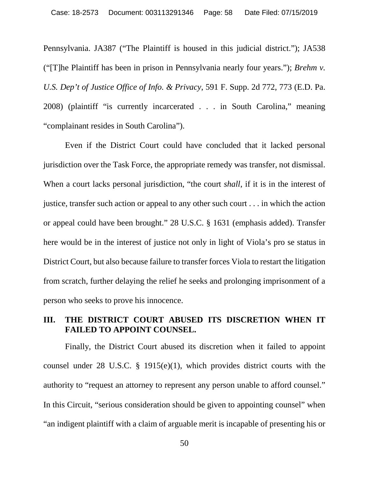<span id="page-57-1"></span>Pennsylvania. JA387 ("The Plaintiff is housed in this judicial district."); JA538 ("[T]he Plaintiff has been in prison in Pennsylvania nearly four years."); *Brehm v. U.S. Dep't of Justice Office of Info. & Privacy*, 591 F. Supp. 2d 772, 773 (E.D. Pa. 2008) (plaintiff "is currently incarcerated . . . in South Carolina," meaning "complainant resides in South Carolina").

<span id="page-57-2"></span>Even if the District Court could have concluded that it lacked personal jurisdiction over the Task Force, the appropriate remedy was transfer, not dismissal. When a court lacks personal jurisdiction, "the court *shall*, if it is in the interest of justice, transfer such action or appeal to any other such court . . . in which the action or appeal could have been brought." 28 U.S.C. § 1631 (emphasis added). Transfer here would be in the interest of justice not only in light of Viola's pro se status in District Court, but also because failure to transfer forces Viola to restart the litigation from scratch, further delaying the relief he seeks and prolonging imprisonment of a person who seeks to prove his innocence.

## <span id="page-57-0"></span>**III. THE DISTRICT COURT ABUSED ITS DISCRETION WHEN IT FAILED TO APPOINT COUNSEL.**

Finally, the District Court abused its discretion when it failed to appoint counsel under 28 U.S.C. § 1915(e)(1), which provides district courts with the authority to "request an attorney to represent any person unable to afford counsel." In this Circuit, "serious consideration should be given to appointing counsel" when "an indigent plaintiff with a claim of arguable merit is incapable of presenting his or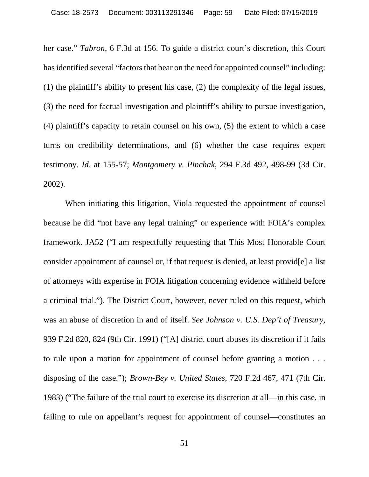her case." *Tabron*, 6 F.3d at 156. To guide a district court's discretion, this Court has identified several "factors that bear on the need for appointed counsel" including: (1) the plaintiff's ability to present his case, (2) the complexity of the legal issues, (3) the need for factual investigation and plaintiff's ability to pursue investigation, (4) plaintiff's capacity to retain counsel on his own, (5) the extent to which a case turns on credibility determinations, and (6) whether the case requires expert testimony. *Id*. at 155-57; *Montgomery v. Pinchak*, 294 F.3d 492, 498-99 (3d Cir. 2002).

<span id="page-58-2"></span><span id="page-58-1"></span><span id="page-58-0"></span>When initiating this litigation, Viola requested the appointment of counsel because he did "not have any legal training" or experience with FOIA's complex framework. JA52 ("I am respectfully requesting that This Most Honorable Court consider appointment of counsel or, if that request is denied, at least provid[e] a list of attorneys with expertise in FOIA litigation concerning evidence withheld before a criminal trial."). The District Court, however, never ruled on this request, which was an abuse of discretion in and of itself. *See Johnson v. U.S. Dep't of Treasury*, 939 F.2d 820, 824 (9th Cir. 1991) ("[A] district court abuses its discretion if it fails to rule upon a motion for appointment of counsel before granting a motion . . . disposing of the case."); *Brown-Bey v. United States*, 720 F.2d 467, 471 (7th Cir. 1983) ("The failure of the trial court to exercise its discretion at all—in this case, in failing to rule on appellant's request for appointment of counsel—constitutes an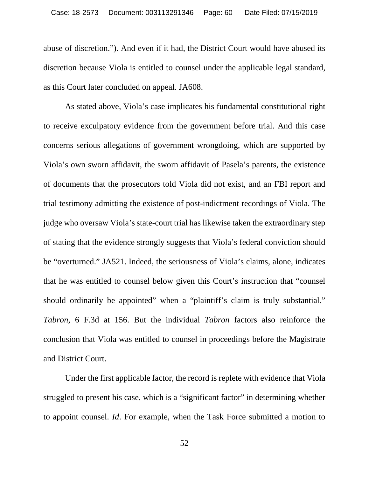abuse of discretion."). And even if it had, the District Court would have abused its discretion because Viola is entitled to counsel under the applicable legal standard, as this Court later concluded on appeal. JA608.

As stated above, Viola's case implicates his fundamental constitutional right to receive exculpatory evidence from the government before trial. And this case concerns serious allegations of government wrongdoing, which are supported by Viola's own sworn affidavit, the sworn affidavit of Pasela's parents, the existence of documents that the prosecutors told Viola did not exist, and an FBI report and trial testimony admitting the existence of post-indictment recordings of Viola. The judge who oversaw Viola's state-court trial has likewise taken the extraordinary step of stating that the evidence strongly suggests that Viola's federal conviction should be "overturned." JA521. Indeed, the seriousness of Viola's claims, alone, indicates that he was entitled to counsel below given this Court's instruction that "counsel should ordinarily be appointed" when a "plaintiff's claim is truly substantial." *Tabron*, 6 F.3d at 156. But the individual *Tabron* factors also reinforce the conclusion that Viola was entitled to counsel in proceedings before the Magistrate and District Court.

Under the first applicable factor, the record is replete with evidence that Viola struggled to present his case, which is a "significant factor" in determining whether to appoint counsel. *Id*. For example, when the Task Force submitted a motion to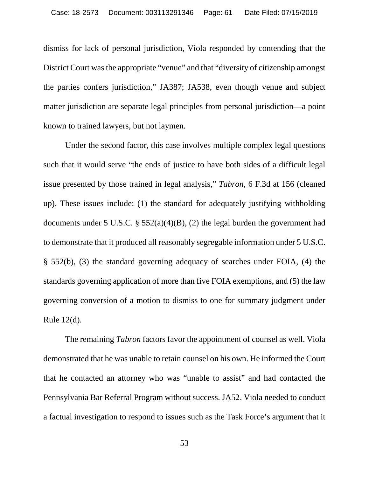dismiss for lack of personal jurisdiction, Viola responded by contending that the District Court was the appropriate "venue" and that "diversity of citizenship amongst the parties confers jurisdiction," JA387; JA538, even though venue and subject matter jurisdiction are separate legal principles from personal jurisdiction—a point known to trained lawyers, but not laymen.

Under the second factor, this case involves multiple complex legal questions such that it would serve "the ends of justice to have both sides of a difficult legal issue presented by those trained in legal analysis," *Tabron*, 6 F.3d at 156 (cleaned up). These issues include: (1) the standard for adequately justifying withholding documents under 5 U.S.C. §  $552(a)(4)(B)$ , (2) the legal burden the government had to demonstrate that it produced all reasonably segregable information under 5 U.S.C. § 552(b), (3) the standard governing adequacy of searches under FOIA, (4) the standards governing application of more than five FOIA exemptions, and (5) the law governing conversion of a motion to dismiss to one for summary judgment under Rule 12(d).

The remaining *Tabron* factors favor the appointment of counsel as well. Viola demonstrated that he was unable to retain counsel on his own. He informed the Court that he contacted an attorney who was "unable to assist" and had contacted the Pennsylvania Bar Referral Program without success. JA52. Viola needed to conduct a factual investigation to respond to issues such as the Task Force's argument that it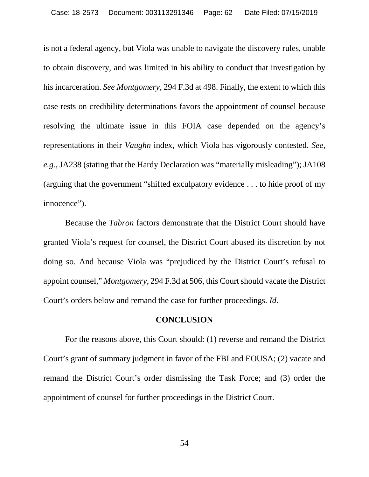<span id="page-61-1"></span>is not a federal agency, but Viola was unable to navigate the discovery rules, unable to obtain discovery, and was limited in his ability to conduct that investigation by his incarceration. *See Montgomery*, 294 F.3d at 498. Finally, the extent to which this case rests on credibility determinations favors the appointment of counsel because resolving the ultimate issue in this FOIA case depended on the agency's representations in their *Vaughn* index, which Viola has vigorously contested. *See, e.g.*, JA238 (stating that the Hardy Declaration was "materially misleading"); JA108 (arguing that the government "shifted exculpatory evidence . . . to hide proof of my innocence").

Because the *Tabron* factors demonstrate that the District Court should have granted Viola's request for counsel, the District Court abused its discretion by not doing so. And because Viola was "prejudiced by the District Court's refusal to appoint counsel," *Montgomery*, 294 F.3d at 506, this Court should vacate the District Court's orders below and remand the case for further proceedings. *Id*.

#### <span id="page-61-0"></span>**CONCLUSION**

For the reasons above, this Court should: (1) reverse and remand the District Court's grant of summary judgment in favor of the FBI and EOUSA; (2) vacate and remand the District Court's order dismissing the Task Force; and (3) order the appointment of counsel for further proceedings in the District Court.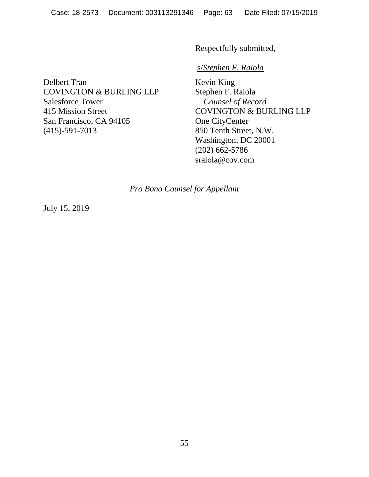Respectfully submitted,

## s/*Stephen F. Raiola*

Delbert Tran COVINGTON & BURLING LLP Salesforce Tower 415 Mission Street San Francisco, CA 94105 (415)-591-7013

Kevin King Stephen F. Raiola *Counsel of Record* COVINGTON & BURLING LLP One CityCenter 850 Tenth Street, N.W. Washington, DC 20001 (202) 662-5786 [sraiola@cov.com](mailto:paul.clement@kirkland.com)

*Pro Bono Counsel for Appellant*

July 15, 2019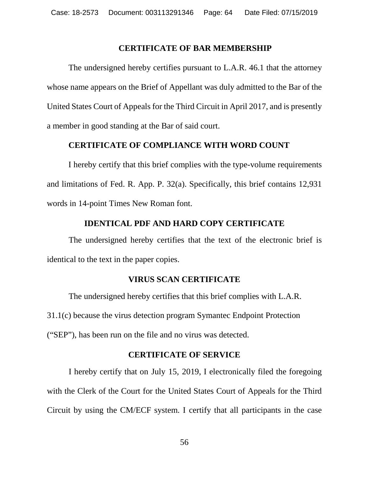#### **CERTIFICATE OF BAR MEMBERSHIP**

The undersigned hereby certifies pursuant to L.A.R. 46.1 that the attorney whose name appears on the Brief of Appellant was duly admitted to the Bar of the United States Court of Appeals for the Third Circuit in April 2017, and is presently a member in good standing at the Bar of said court.

## **CERTIFICATE OF COMPLIANCE WITH WORD COUNT**

I hereby certify that this brief complies with the type-volume requirements and limitations of Fed. R. App. P. 32(a). Specifically, this brief contains 12,931 words in 14-point Times New Roman font.

## **IDENTICAL PDF AND HARD COPY CERTIFICATE**

The undersigned hereby certifies that the text of the electronic brief is identical to the text in the paper copies.

## **VIRUS SCAN CERTIFICATE**

The undersigned hereby certifies that this brief complies with L.A.R. 31.1(c) because the virus detection program Symantec Endpoint Protection ("SEP"), has been run on the file and no virus was detected.

## **CERTIFICATE OF SERVICE**

I hereby certify that on July 15, 2019, I electronically filed the foregoing with the Clerk of the Court for the United States Court of Appeals for the Third Circuit by using the CM/ECF system. I certify that all participants in the case